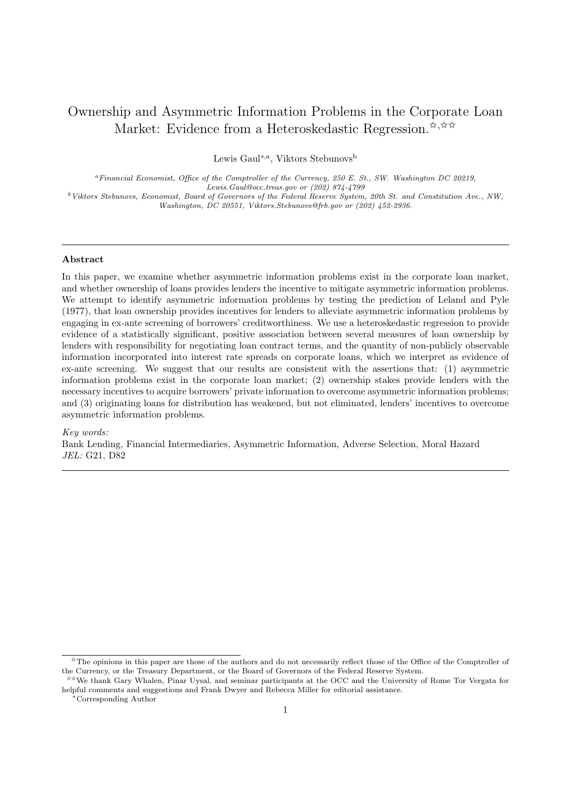# Ownership and Asymmetric Information Problems in the Corporate Loan Market: Evidence from a Heteroskedastic Regression.  $\mathbf{\hat{x}}, \mathbf{\hat{x}} \mathbf{\hat{x}}$

Lewis Gaul<sup>∗,a</sup>, Viktors Stebunovs<sup>b</sup>

 $a<sup>a</sup> Financial Economic, Office of the Computer of the Current, 250 E. St., SW. Washington DC 20219,$ Lewis.Gaul@occ.treas.gov or (202) 874-4799 <sup>b</sup>Viktors Stebunovs, Economist, Board of Governors of the Federal Reserve System, 20th St. and Constitution Ave., NW,

Washington, DC 20551, Viktors.Stebunovs@frb.gov or (202) 452-2936.

## Abstract

In this paper, we examine whether asymmetric information problems exist in the corporate loan market, and whether ownership of loans provides lenders the incentive to mitigate asymmetric information problems. We attempt to identify asymmetric information problems by testing the prediction of Leland and Pyle (1977), that loan ownership provides incentives for lenders to alleviate asymmetric information problems by engaging in ex-ante screening of borrowers' creditworthiness. We use a heteroskedastic regression to provide evidence of a statistically significant, positive association between several measures of loan ownership by lenders with responsibility for negotiating loan contract terms, and the quantity of non-publicly observable information incorporated into interest rate spreads on corporate loans, which we interpret as evidence of ex-ante screening. We suggest that our results are consistent with the assertions that: (1) asymmetric information problems exist in the corporate loan market; (2) ownership stakes provide lenders with the necessary incentives to acquire borrowers' private information to overcome asymmetric information problems; and (3) originating loans for distribution has weakened, but not eliminated, lenders' incentives to overcome asymmetric information problems.

#### Key words:

Bank Lending, Financial Intermediaries, Asymmetric Information, Adverse Selection, Moral Hazard JEL: G21, D82

<sup>✩</sup>The opinions in this paper are those of the authors and do not necessarily reflect those of the Office of the Comptroller of the Currency, or the Treasury Department, or the Board of Governors of the Federal Reserve System.

<sup>✩✩</sup>We thank Gary Whalen, Pinar Uysal, and seminar participants at the OCC and the University of Rome Tor Vergata for helpful comments and suggestions and Frank Dwyer and Rebecca Miller for editorial assistance.

<sup>∗</sup>Corresponding Author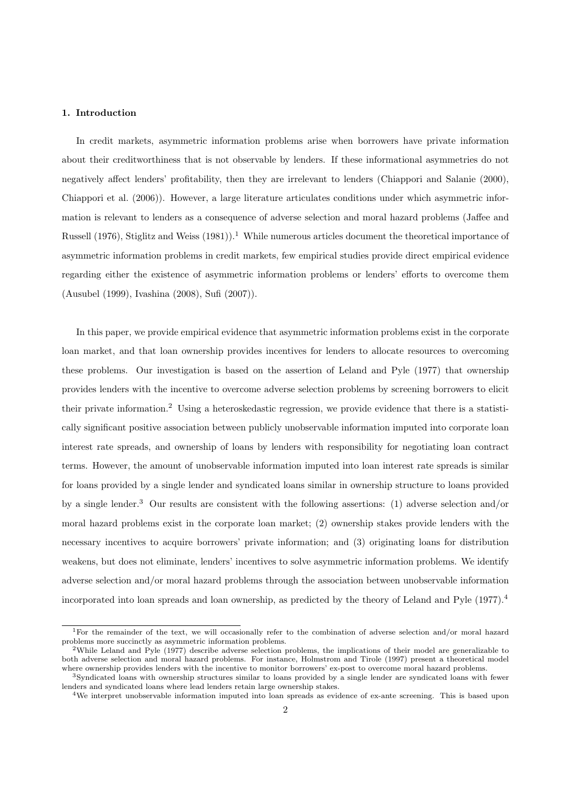#### 1. Introduction

In credit markets, asymmetric information problems arise when borrowers have private information about their creditworthiness that is not observable by lenders. If these informational asymmetries do not negatively affect lenders' profitability, then they are irrelevant to lenders (Chiappori and Salanie (2000), Chiappori et al. (2006)). However, a large literature articulates conditions under which asymmetric information is relevant to lenders as a consequence of adverse selection and moral hazard problems (Jaffee and Russell (1976), Stiglitz and Weiss  $(1981)$ .<sup>1</sup> While numerous articles document the theoretical importance of asymmetric information problems in credit markets, few empirical studies provide direct empirical evidence regarding either the existence of asymmetric information problems or lenders' efforts to overcome them (Ausubel (1999), Ivashina (2008), Sufi (2007)).

In this paper, we provide empirical evidence that asymmetric information problems exist in the corporate loan market, and that loan ownership provides incentives for lenders to allocate resources to overcoming these problems. Our investigation is based on the assertion of Leland and Pyle (1977) that ownership provides lenders with the incentive to overcome adverse selection problems by screening borrowers to elicit their private information.<sup>2</sup> Using a heteroskedastic regression, we provide evidence that there is a statistically significant positive association between publicly unobservable information imputed into corporate loan interest rate spreads, and ownership of loans by lenders with responsibility for negotiating loan contract terms. However, the amount of unobservable information imputed into loan interest rate spreads is similar for loans provided by a single lender and syndicated loans similar in ownership structure to loans provided by a single lender.<sup>3</sup> Our results are consistent with the following assertions: (1) adverse selection and/or moral hazard problems exist in the corporate loan market; (2) ownership stakes provide lenders with the necessary incentives to acquire borrowers' private information; and (3) originating loans for distribution weakens, but does not eliminate, lenders' incentives to solve asymmetric information problems. We identify adverse selection and/or moral hazard problems through the association between unobservable information incorporated into loan spreads and loan ownership, as predicted by the theory of Leland and Pyle (1977).<sup>4</sup>

<sup>1</sup>For the remainder of the text, we will occasionally refer to the combination of adverse selection and/or moral hazard problems more succinctly as asymmetric information problems.

<sup>&</sup>lt;sup>2</sup>While Leland and Pyle (1977) describe adverse selection problems, the implications of their model are generalizable to both adverse selection and moral hazard problems. For instance, Holmstrom and Tirole (1997) present a theoretical model where ownership provides lenders with the incentive to monitor borrowers' ex-post to overcome moral hazard problems.

<sup>3</sup>Syndicated loans with ownership structures similar to loans provided by a single lender are syndicated loans with fewer lenders and syndicated loans where lead lenders retain large ownership stakes.

<sup>4</sup>We interpret unobservable information imputed into loan spreads as evidence of ex-ante screening. This is based upon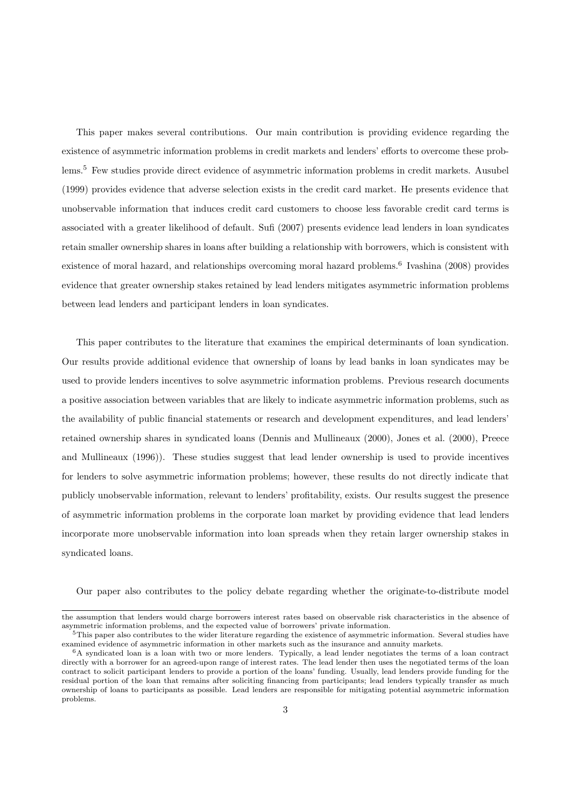This paper makes several contributions. Our main contribution is providing evidence regarding the existence of asymmetric information problems in credit markets and lenders' efforts to overcome these problems.<sup>5</sup> Few studies provide direct evidence of asymmetric information problems in credit markets. Ausubel (1999) provides evidence that adverse selection exists in the credit card market. He presents evidence that unobservable information that induces credit card customers to choose less favorable credit card terms is associated with a greater likelihood of default. Sufi (2007) presents evidence lead lenders in loan syndicates retain smaller ownership shares in loans after building a relationship with borrowers, which is consistent with existence of moral hazard, and relationships overcoming moral hazard problems.<sup>6</sup> Ivashina (2008) provides evidence that greater ownership stakes retained by lead lenders mitigates asymmetric information problems between lead lenders and participant lenders in loan syndicates.

This paper contributes to the literature that examines the empirical determinants of loan syndication. Our results provide additional evidence that ownership of loans by lead banks in loan syndicates may be used to provide lenders incentives to solve asymmetric information problems. Previous research documents a positive association between variables that are likely to indicate asymmetric information problems, such as the availability of public financial statements or research and development expenditures, and lead lenders' retained ownership shares in syndicated loans (Dennis and Mullineaux (2000), Jones et al. (2000), Preece and Mullineaux (1996)). These studies suggest that lead lender ownership is used to provide incentives for lenders to solve asymmetric information problems; however, these results do not directly indicate that publicly unobservable information, relevant to lenders' profitability, exists. Our results suggest the presence of asymmetric information problems in the corporate loan market by providing evidence that lead lenders incorporate more unobservable information into loan spreads when they retain larger ownership stakes in syndicated loans.

Our paper also contributes to the policy debate regarding whether the originate-to-distribute model

the assumption that lenders would charge borrowers interest rates based on observable risk characteristics in the absence of asymmetric information problems, and the expected value of borrowers' private information.

<sup>&</sup>lt;sup>5</sup>This paper also contributes to the wider literature regarding the existence of asymmetric information. Several studies have examined evidence of asymmetric information in other markets such as the insurance and annuity markets.

<sup>6</sup>A syndicated loan is a loan with two or more lenders. Typically, a lead lender negotiates the terms of a loan contract directly with a borrower for an agreed-upon range of interest rates. The lead lender then uses the negotiated terms of the loan contract to solicit participant lenders to provide a portion of the loans' funding. Usually, lead lenders provide funding for the residual portion of the loan that remains after soliciting financing from participants; lead lenders typically transfer as much ownership of loans to participants as possible. Lead lenders are responsible for mitigating potential asymmetric information problems.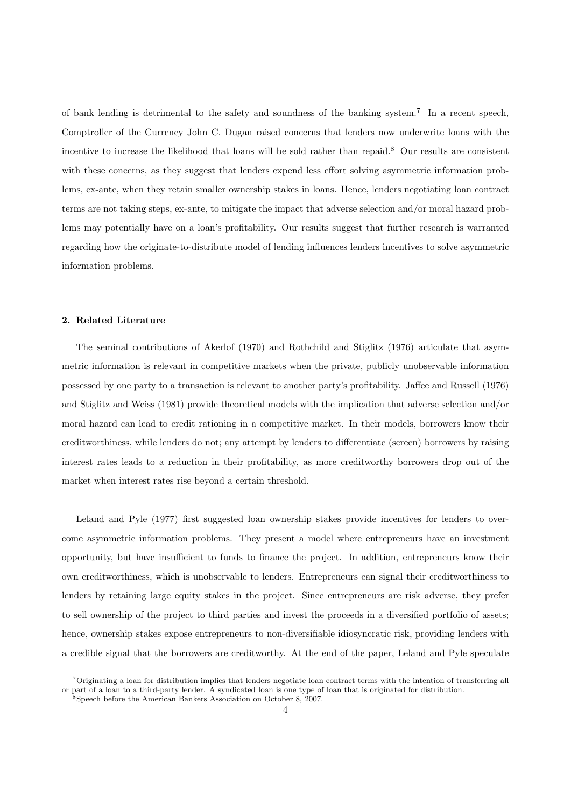of bank lending is detrimental to the safety and soundness of the banking system.<sup>7</sup> In a recent speech, Comptroller of the Currency John C. Dugan raised concerns that lenders now underwrite loans with the incentive to increase the likelihood that loans will be sold rather than repaid.<sup>8</sup> Our results are consistent with these concerns, as they suggest that lenders expend less effort solving asymmetric information problems, ex-ante, when they retain smaller ownership stakes in loans. Hence, lenders negotiating loan contract terms are not taking steps, ex-ante, to mitigate the impact that adverse selection and/or moral hazard problems may potentially have on a loan's profitability. Our results suggest that further research is warranted regarding how the originate-to-distribute model of lending influences lenders incentives to solve asymmetric information problems.

# 2. Related Literature

The seminal contributions of Akerlof (1970) and Rothchild and Stiglitz (1976) articulate that asymmetric information is relevant in competitive markets when the private, publicly unobservable information possessed by one party to a transaction is relevant to another party's profitability. Jaffee and Russell (1976) and Stiglitz and Weiss (1981) provide theoretical models with the implication that adverse selection and/or moral hazard can lead to credit rationing in a competitive market. In their models, borrowers know their creditworthiness, while lenders do not; any attempt by lenders to differentiate (screen) borrowers by raising interest rates leads to a reduction in their profitability, as more creditworthy borrowers drop out of the market when interest rates rise beyond a certain threshold.

Leland and Pyle (1977) first suggested loan ownership stakes provide incentives for lenders to overcome asymmetric information problems. They present a model where entrepreneurs have an investment opportunity, but have insufficient to funds to finance the project. In addition, entrepreneurs know their own creditworthiness, which is unobservable to lenders. Entrepreneurs can signal their creditworthiness to lenders by retaining large equity stakes in the project. Since entrepreneurs are risk adverse, they prefer to sell ownership of the project to third parties and invest the proceeds in a diversified portfolio of assets; hence, ownership stakes expose entrepreneurs to non-diversifiable idiosyncratic risk, providing lenders with a credible signal that the borrowers are creditworthy. At the end of the paper, Leland and Pyle speculate

<sup>7</sup>Originating a loan for distribution implies that lenders negotiate loan contract terms with the intention of transferring all or part of a loan to a third-party lender. A syndicated loan is one type of loan that is originated for distribution.

<sup>&</sup>lt;sup>8</sup>Speech before the American Bankers Association on October 8, 2007.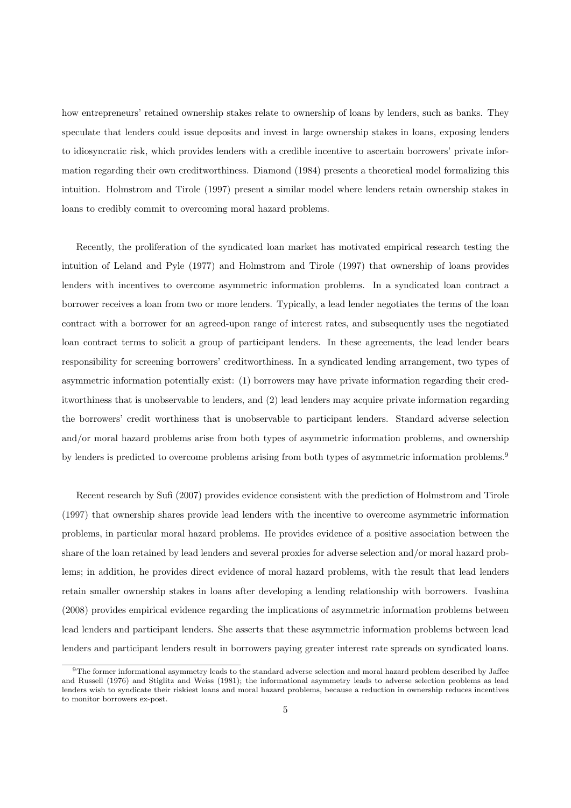how entrepreneurs' retained ownership stakes relate to ownership of loans by lenders, such as banks. They speculate that lenders could issue deposits and invest in large ownership stakes in loans, exposing lenders to idiosyncratic risk, which provides lenders with a credible incentive to ascertain borrowers' private information regarding their own creditworthiness. Diamond (1984) presents a theoretical model formalizing this intuition. Holmstrom and Tirole (1997) present a similar model where lenders retain ownership stakes in loans to credibly commit to overcoming moral hazard problems.

Recently, the proliferation of the syndicated loan market has motivated empirical research testing the intuition of Leland and Pyle (1977) and Holmstrom and Tirole (1997) that ownership of loans provides lenders with incentives to overcome asymmetric information problems. In a syndicated loan contract a borrower receives a loan from two or more lenders. Typically, a lead lender negotiates the terms of the loan contract with a borrower for an agreed-upon range of interest rates, and subsequently uses the negotiated loan contract terms to solicit a group of participant lenders. In these agreements, the lead lender bears responsibility for screening borrowers' creditworthiness. In a syndicated lending arrangement, two types of asymmetric information potentially exist: (1) borrowers may have private information regarding their creditworthiness that is unobservable to lenders, and (2) lead lenders may acquire private information regarding the borrowers' credit worthiness that is unobservable to participant lenders. Standard adverse selection and/or moral hazard problems arise from both types of asymmetric information problems, and ownership by lenders is predicted to overcome problems arising from both types of asymmetric information problems.<sup>9</sup>

Recent research by Sufi (2007) provides evidence consistent with the prediction of Holmstrom and Tirole (1997) that ownership shares provide lead lenders with the incentive to overcome asymmetric information problems, in particular moral hazard problems. He provides evidence of a positive association between the share of the loan retained by lead lenders and several proxies for adverse selection and/or moral hazard problems; in addition, he provides direct evidence of moral hazard problems, with the result that lead lenders retain smaller ownership stakes in loans after developing a lending relationship with borrowers. Ivashina (2008) provides empirical evidence regarding the implications of asymmetric information problems between lead lenders and participant lenders. She asserts that these asymmetric information problems between lead lenders and participant lenders result in borrowers paying greater interest rate spreads on syndicated loans.

<sup>9</sup>The former informational asymmetry leads to the standard adverse selection and moral hazard problem described by Jaffee and Russell (1976) and Stiglitz and Weiss (1981); the informational asymmetry leads to adverse selection problems as lead lenders wish to syndicate their riskiest loans and moral hazard problems, because a reduction in ownership reduces incentives to monitor borrowers ex-post.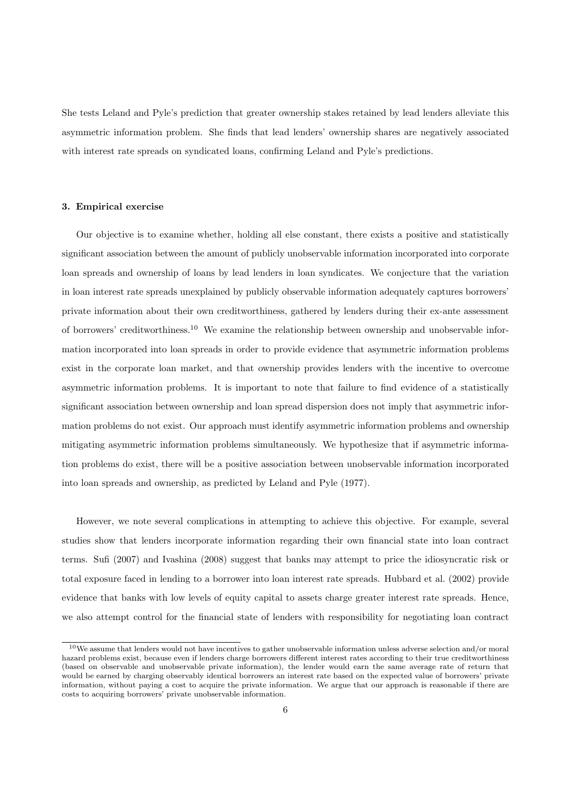She tests Leland and Pyle's prediction that greater ownership stakes retained by lead lenders alleviate this asymmetric information problem. She finds that lead lenders' ownership shares are negatively associated with interest rate spreads on syndicated loans, confirming Leland and Pyle's predictions.

#### 3. Empirical exercise

Our objective is to examine whether, holding all else constant, there exists a positive and statistically significant association between the amount of publicly unobservable information incorporated into corporate loan spreads and ownership of loans by lead lenders in loan syndicates. We conjecture that the variation in loan interest rate spreads unexplained by publicly observable information adequately captures borrowers' private information about their own creditworthiness, gathered by lenders during their ex-ante assessment of borrowers' creditworthiness.<sup>10</sup> We examine the relationship between ownership and unobservable information incorporated into loan spreads in order to provide evidence that asymmetric information problems exist in the corporate loan market, and that ownership provides lenders with the incentive to overcome asymmetric information problems. It is important to note that failure to find evidence of a statistically significant association between ownership and loan spread dispersion does not imply that asymmetric information problems do not exist. Our approach must identify asymmetric information problems and ownership mitigating asymmetric information problems simultaneously. We hypothesize that if asymmetric information problems do exist, there will be a positive association between unobservable information incorporated into loan spreads and ownership, as predicted by Leland and Pyle (1977).

However, we note several complications in attempting to achieve this objective. For example, several studies show that lenders incorporate information regarding their own financial state into loan contract terms. Sufi (2007) and Ivashina (2008) suggest that banks may attempt to price the idiosyncratic risk or total exposure faced in lending to a borrower into loan interest rate spreads. Hubbard et al. (2002) provide evidence that banks with low levels of equity capital to assets charge greater interest rate spreads. Hence, we also attempt control for the financial state of lenders with responsibility for negotiating loan contract

<sup>10</sup>We assume that lenders would not have incentives to gather unobservable information unless adverse selection and/or moral hazard problems exist, because even if lenders charge borrowers different interest rates according to their true creditworthiness (based on observable and unobservable private information), the lender would earn the same average rate of return that would be earned by charging observably identical borrowers an interest rate based on the expected value of borrowers' private information, without paying a cost to acquire the private information. We argue that our approach is reasonable if there are costs to acquiring borrowers' private unobservable information.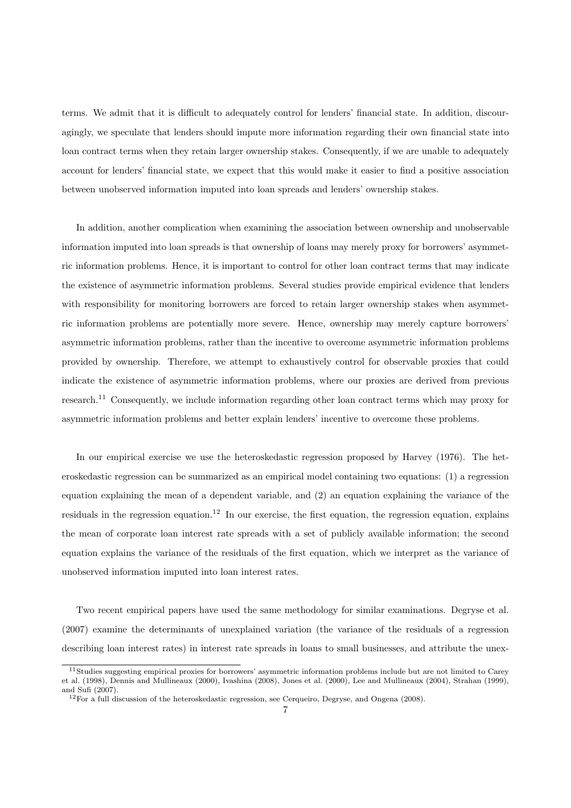terms. We admit that it is difficult to adequately control for lenders' financial state. In addition, discouragingly, we speculate that lenders should impute more information regarding their own financial state into loan contract terms when they retain larger ownership stakes. Consequently, if we are unable to adequately account for lenders' financial state, we expect that this would make it easier to find a positive association between unobserved information imputed into loan spreads and lenders' ownership stakes.

In addition, another complication when examining the association between ownership and unobservable information imputed into loan spreads is that ownership of loans may merely proxy for borrowers' asymmetric information problems. Hence, it is important to control for other loan contract terms that may indicate the existence of asymmetric information problems. Several studies provide empirical evidence that lenders with responsibility for monitoring borrowers are forced to retain larger ownership stakes when asymmetric information problems are potentially more severe. Hence, ownership may merely capture borrowers' asymmetric information problems, rather than the incentive to overcome asymmetric information problems provided by ownership. Therefore, we attempt to exhaustively control for observable proxies that could indicate the existence of asymmetric information problems, where our proxies are derived from previous research.<sup>11</sup> Consequently, we include information regarding other loan contract terms which may proxy for asymmetric information problems and better explain lenders' incentive to overcome these problems.

In our empirical exercise we use the heteroskedastic regression proposed by Harvey (1976). The heteroskedastic regression can be summarized as an empirical model containing two equations: (1) a regression equation explaining the mean of a dependent variable, and (2) an equation explaining the variance of the residuals in the regression equation.<sup>12</sup> In our exercise, the first equation, the regression equation, explains the mean of corporate loan interest rate spreads with a set of publicly available information; the second equation explains the variance of the residuals of the first equation, which we interpret as the variance of unobserved information imputed into loan interest rates.

Two recent empirical papers have used the same methodology for similar examinations. Degryse et al. (2007) examine the determinants of unexplained variation (the variance of the residuals of a regression describing loan interest rates) in interest rate spreads in loans to small businesses, and attribute the unex-

<sup>11</sup>Studies suggesting empirical proxies for borrowers' asymmetric information problems include but are not limited to Carey et al. (1998), Dennis and Mullineaux (2000), Ivashina (2008), Jones et al. (2000), Lee and Mullineaux (2004), Strahan (1999), and Sufi (2007).

<sup>&</sup>lt;sup>12</sup>For a full discussion of the heteroskedastic regression, see Cerqueiro, Degryse, and Ongena (2008).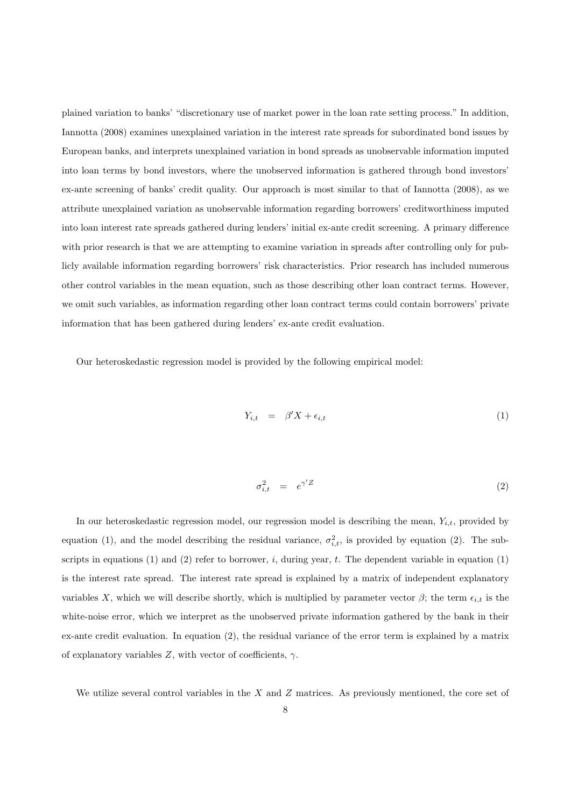plained variation to banks' "discretionary use of market power in the loan rate setting process." In addition, Iannotta (2008) examines unexplained variation in the interest rate spreads for subordinated bond issues by European banks, and interprets unexplained variation in bond spreads as unobservable information imputed into loan terms by bond investors, where the unobserved information is gathered through bond investors' ex-ante screening of banks' credit quality. Our approach is most similar to that of Iannotta (2008), as we attribute unexplained variation as unobservable information regarding borrowers' creditworthiness imputed into loan interest rate spreads gathered during lenders' initial ex-ante credit screening. A primary difference with prior research is that we are attempting to examine variation in spreads after controlling only for publicly available information regarding borrowers' risk characteristics. Prior research has included numerous other control variables in the mean equation, such as those describing other loan contract terms. However, we omit such variables, as information regarding other loan contract terms could contain borrowers' private information that has been gathered during lenders' ex-ante credit evaluation.

Our heteroskedastic regression model is provided by the following empirical model:

$$
Y_{i,t} = \beta' X + \epsilon_{i,t} \tag{1}
$$

$$
\sigma_{i,t}^2 = e^{\gamma'Z} \tag{2}
$$

In our heteroskedastic regression model, our regression model is describing the mean,  $Y_{i,t}$ , provided by equation (1), and the model describing the residual variance,  $\sigma_{i,t}^2$ , is provided by equation (2). The subscripts in equations  $(1)$  and  $(2)$  refer to borrower, i, during year, t. The dependent variable in equation  $(1)$ is the interest rate spread. The interest rate spread is explained by a matrix of independent explanatory variables X, which we will describe shortly, which is multiplied by parameter vector  $\beta$ ; the term  $\epsilon_{i,t}$  is the white-noise error, which we interpret as the unobserved private information gathered by the bank in their ex-ante credit evaluation. In equation (2), the residual variance of the error term is explained by a matrix of explanatory variables  $Z$ , with vector of coefficients,  $\gamma$ .

We utilize several control variables in the  $X$  and  $Z$  matrices. As previously mentioned, the core set of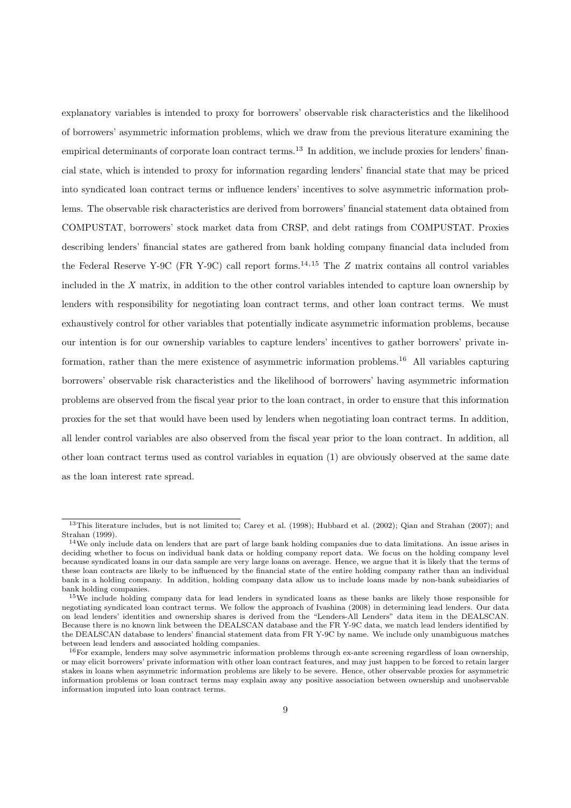explanatory variables is intended to proxy for borrowers' observable risk characteristics and the likelihood of borrowers' asymmetric information problems, which we draw from the previous literature examining the empirical determinants of corporate loan contract terms.<sup>13</sup> In addition, we include proxies for lenders' financial state, which is intended to proxy for information regarding lenders' financial state that may be priced into syndicated loan contract terms or influence lenders' incentives to solve asymmetric information problems. The observable risk characteristics are derived from borrowers' financial statement data obtained from COMPUSTAT, borrowers' stock market data from CRSP, and debt ratings from COMPUSTAT. Proxies describing lenders' financial states are gathered from bank holding company financial data included from the Federal Reserve Y-9C (FR Y-9C) call report forms.<sup>14,15</sup> The  $Z$  matrix contains all control variables included in the X matrix, in addition to the other control variables intended to capture loan ownership by lenders with responsibility for negotiating loan contract terms, and other loan contract terms. We must exhaustively control for other variables that potentially indicate asymmetric information problems, because our intention is for our ownership variables to capture lenders' incentives to gather borrowers' private information, rather than the mere existence of asymmetric information problems.<sup>16</sup> All variables capturing borrowers' observable risk characteristics and the likelihood of borrowers' having asymmetric information problems are observed from the fiscal year prior to the loan contract, in order to ensure that this information proxies for the set that would have been used by lenders when negotiating loan contract terms. In addition, all lender control variables are also observed from the fiscal year prior to the loan contract. In addition, all other loan contract terms used as control variables in equation (1) are obviously observed at the same date as the loan interest rate spread.

<sup>&</sup>lt;sup>13</sup>This literature includes, but is not limited to; Carey et al. (1998); Hubbard et al. (2002); Qian and Strahan (2007); and Strahan (1999).

 $14$ We only include data on lenders that are part of large bank holding companies due to data limitations. An issue arises in deciding whether to focus on individual bank data or holding company report data. We focus on the holding company level because syndicated loans in our data sample are very large loans on average. Hence, we argue that it is likely that the terms of these loan contracts are likely to be influenced by the financial state of the entire holding company rather than an individual bank in a holding company. In addition, holding company data allow us to include loans made by non-bank subsidiaries of bank holding companies.

<sup>15</sup>We include holding company data for lead lenders in syndicated loans as these banks are likely those responsible for negotiating syndicated loan contract terms. We follow the approach of Ivashina (2008) in determining lead lenders. Our data on lead lenders' identities and ownership shares is derived from the "Lenders-All Lenders" data item in the DEALSCAN. Because there is no known link between the DEALSCAN database and the FR Y-9C data, we match lead lenders identified by the DEALSCAN database to lenders' financial statement data from FR Y-9C by name. We include only unambiguous matches between lead lenders and associated holding companies.

 $16$ For example, lenders may solve asymmetric information problems through ex-ante screening regardless of loan ownership, or may elicit borrowers' private information with other loan contract features, and may just happen to be forced to retain larger stakes in loans when asymmetric information problems are likely to be severe. Hence, other observable proxies for asymmetric information problems or loan contract terms may explain away any positive association between ownership and unobservable information imputed into loan contract terms.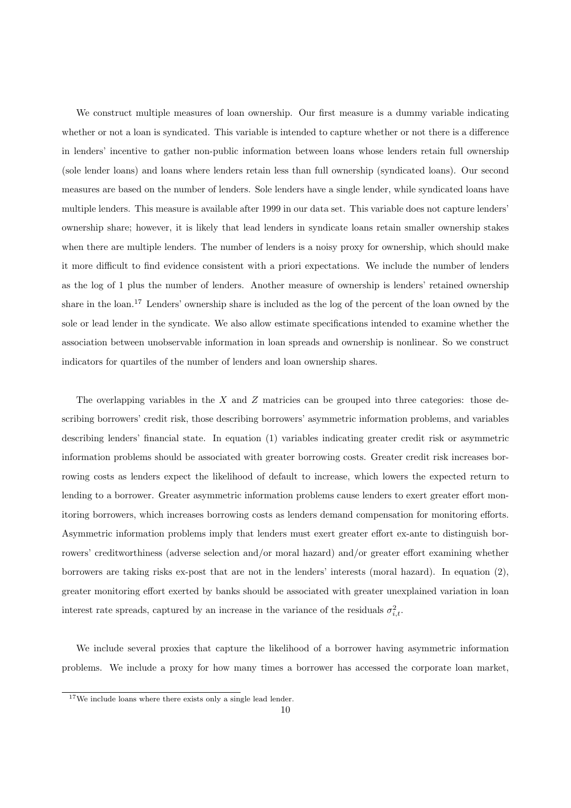We construct multiple measures of loan ownership. Our first measure is a dummy variable indicating whether or not a loan is syndicated. This variable is intended to capture whether or not there is a difference in lenders' incentive to gather non-public information between loans whose lenders retain full ownership (sole lender loans) and loans where lenders retain less than full ownership (syndicated loans). Our second measures are based on the number of lenders. Sole lenders have a single lender, while syndicated loans have multiple lenders. This measure is available after 1999 in our data set. This variable does not capture lenders' ownership share; however, it is likely that lead lenders in syndicate loans retain smaller ownership stakes when there are multiple lenders. The number of lenders is a noisy proxy for ownership, which should make it more difficult to find evidence consistent with a priori expectations. We include the number of lenders as the log of 1 plus the number of lenders. Another measure of ownership is lenders' retained ownership share in the loan.<sup>17</sup> Lenders' ownership share is included as the log of the percent of the loan owned by the sole or lead lender in the syndicate. We also allow estimate specifications intended to examine whether the association between unobservable information in loan spreads and ownership is nonlinear. So we construct indicators for quartiles of the number of lenders and loan ownership shares.

The overlapping variables in the  $X$  and  $Z$  matricies can be grouped into three categories: those describing borrowers' credit risk, those describing borrowers' asymmetric information problems, and variables describing lenders' financial state. In equation (1) variables indicating greater credit risk or asymmetric information problems should be associated with greater borrowing costs. Greater credit risk increases borrowing costs as lenders expect the likelihood of default to increase, which lowers the expected return to lending to a borrower. Greater asymmetric information problems cause lenders to exert greater effort monitoring borrowers, which increases borrowing costs as lenders demand compensation for monitoring efforts. Asymmetric information problems imply that lenders must exert greater effort ex-ante to distinguish borrowers' creditworthiness (adverse selection and/or moral hazard) and/or greater effort examining whether borrowers are taking risks ex-post that are not in the lenders' interests (moral hazard). In equation (2), greater monitoring effort exerted by banks should be associated with greater unexplained variation in loan interest rate spreads, captured by an increase in the variance of the residuals  $\sigma_{i,t}^2$ .

We include several proxies that capture the likelihood of a borrower having asymmetric information problems. We include a proxy for how many times a borrower has accessed the corporate loan market,

<sup>17</sup>We include loans where there exists only a single lead lender.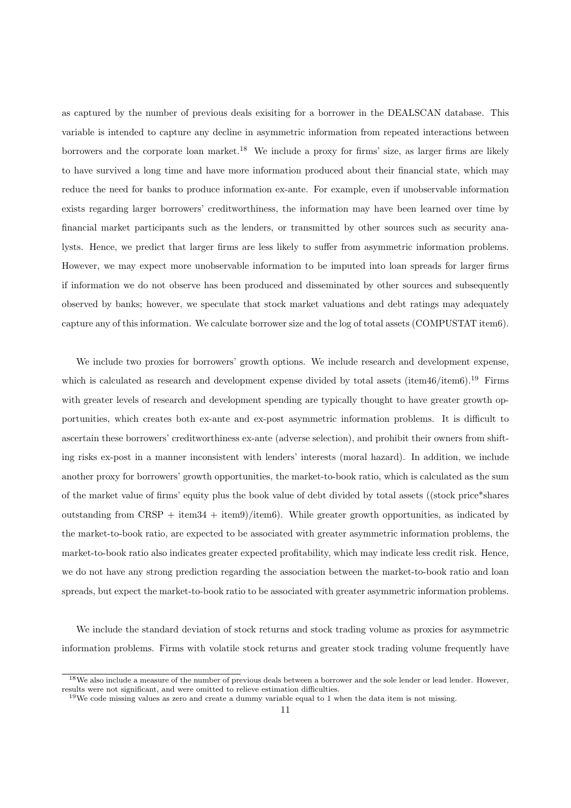as captured by the number of previous deals exisiting for a borrower in the DEALSCAN database. This variable is intended to capture any decline in asymmetric information from repeated interactions between borrowers and the corporate loan market.<sup>18</sup> We include a proxy for firms' size, as larger firms are likely to have survived a long time and have more information produced about their financial state, which may reduce the need for banks to produce information ex-ante. For example, even if unobservable information exists regarding larger borrowers' creditworthiness, the information may have been learned over time by financial market participants such as the lenders, or transmitted by other sources such as security analysts. Hence, we predict that larger firms are less likely to suffer from asymmetric information problems. However, we may expect more unobservable information to be imputed into loan spreads for larger firms if information we do not observe has been produced and disseminated by other sources and subsequently observed by banks; however, we speculate that stock market valuations and debt ratings may adequately capture any of this information. We calculate borrower size and the log of total assets (COMPUSTAT item6).

We include two proxies for borrowers' growth options. We include research and development expense, which is calculated as research and development expense divided by total assets (item46/item6).<sup>19</sup> Firms with greater levels of research and development spending are typically thought to have greater growth opportunities, which creates both ex-ante and ex-post asymmetric information problems. It is difficult to ascertain these borrowers' creditworthiness ex-ante (adverse selection), and prohibit their owners from shifting risks ex-post in a manner inconsistent with lenders' interests (moral hazard). In addition, we include another proxy for borrowers' growth opportunities, the market-to-book ratio, which is calculated as the sum of the market value of firms' equity plus the book value of debt divided by total assets ((stock price\*shares outstanding from  $CRSP + item34 + item9$ /item6). While greater growth opportunities, as indicated by the market-to-book ratio, are expected to be associated with greater asymmetric information problems, the market-to-book ratio also indicates greater expected profitability, which may indicate less credit risk. Hence, we do not have any strong prediction regarding the association between the market-to-book ratio and loan spreads, but expect the market-to-book ratio to be associated with greater asymmetric information problems.

We include the standard deviation of stock returns and stock trading volume as proxies for asymmetric information problems. Firms with volatile stock returns and greater stock trading volume frequently have

<sup>&</sup>lt;sup>18</sup>We also include a measure of the number of previous deals between a borrower and the sole lender or lead lender. However, results were not significant, and were omitted to relieve estimation difficulties.

<sup>19</sup>We code missing values as zero and create a dummy variable equal to 1 when the data item is not missing.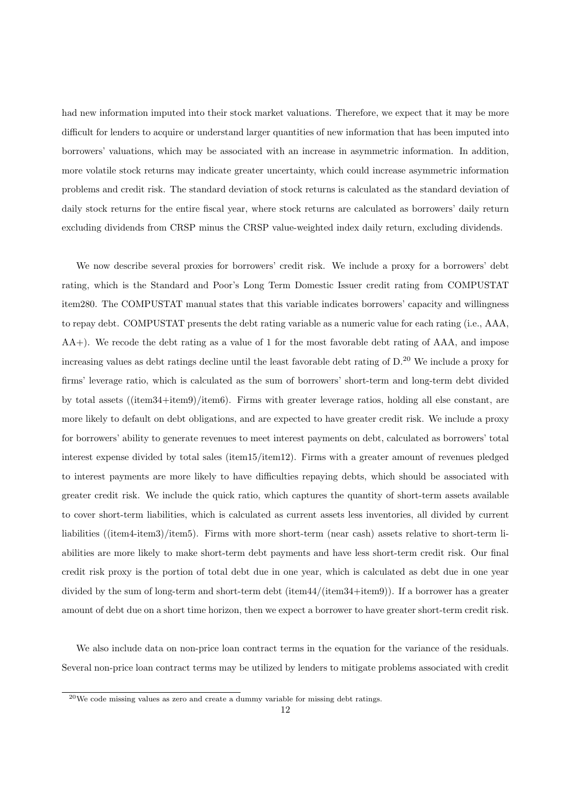had new information imputed into their stock market valuations. Therefore, we expect that it may be more difficult for lenders to acquire or understand larger quantities of new information that has been imputed into borrowers' valuations, which may be associated with an increase in asymmetric information. In addition, more volatile stock returns may indicate greater uncertainty, which could increase asymmetric information problems and credit risk. The standard deviation of stock returns is calculated as the standard deviation of daily stock returns for the entire fiscal year, where stock returns are calculated as borrowers' daily return excluding dividends from CRSP minus the CRSP value-weighted index daily return, excluding dividends.

We now describe several proxies for borrowers' credit risk. We include a proxy for a borrowers' debt rating, which is the Standard and Poor's Long Term Domestic Issuer credit rating from COMPUSTAT item280. The COMPUSTAT manual states that this variable indicates borrowers' capacity and willingness to repay debt. COMPUSTAT presents the debt rating variable as a numeric value for each rating (i.e., AAA, AA+). We recode the debt rating as a value of 1 for the most favorable debt rating of AAA, and impose increasing values as debt ratings decline until the least favorable debt rating of D.<sup>20</sup> We include a proxy for firms' leverage ratio, which is calculated as the sum of borrowers' short-term and long-term debt divided by total assets ((item34+item9)/item6). Firms with greater leverage ratios, holding all else constant, are more likely to default on debt obligations, and are expected to have greater credit risk. We include a proxy for borrowers' ability to generate revenues to meet interest payments on debt, calculated as borrowers' total interest expense divided by total sales (item15/item12). Firms with a greater amount of revenues pledged to interest payments are more likely to have difficulties repaying debts, which should be associated with greater credit risk. We include the quick ratio, which captures the quantity of short-term assets available to cover short-term liabilities, which is calculated as current assets less inventories, all divided by current liabilities ((item4-item3)/item5). Firms with more short-term (near cash) assets relative to short-term liabilities are more likely to make short-term debt payments and have less short-term credit risk. Our final credit risk proxy is the portion of total debt due in one year, which is calculated as debt due in one year divided by the sum of long-term and short-term debt (item44/(item34+item9)). If a borrower has a greater amount of debt due on a short time horizon, then we expect a borrower to have greater short-term credit risk.

We also include data on non-price loan contract terms in the equation for the variance of the residuals. Several non-price loan contract terms may be utilized by lenders to mitigate problems associated with credit

 $^{20}\text{We code missing values as zero and create a dummy variable for missing debt ratings.}$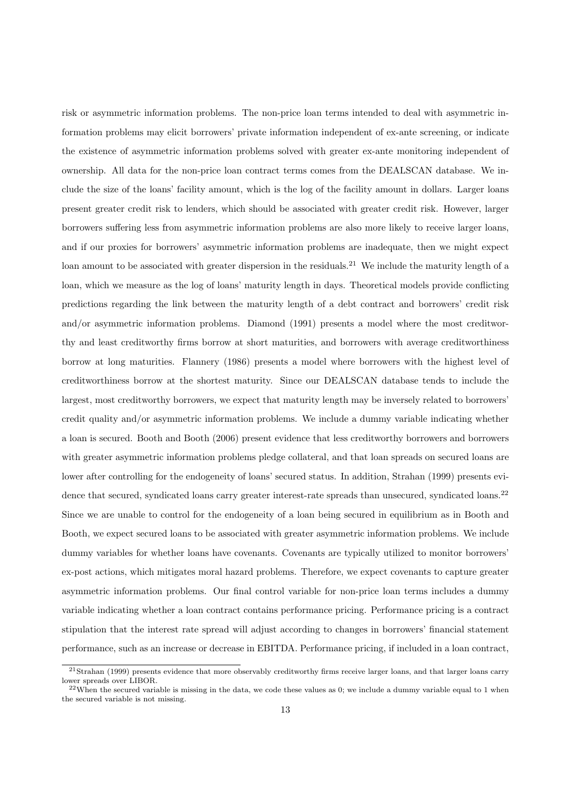risk or asymmetric information problems. The non-price loan terms intended to deal with asymmetric information problems may elicit borrowers' private information independent of ex-ante screening, or indicate the existence of asymmetric information problems solved with greater ex-ante monitoring independent of ownership. All data for the non-price loan contract terms comes from the DEALSCAN database. We include the size of the loans' facility amount, which is the log of the facility amount in dollars. Larger loans present greater credit risk to lenders, which should be associated with greater credit risk. However, larger borrowers suffering less from asymmetric information problems are also more likely to receive larger loans, and if our proxies for borrowers' asymmetric information problems are inadequate, then we might expect loan amount to be associated with greater dispersion in the residuals.<sup>21</sup> We include the maturity length of a loan, which we measure as the log of loans' maturity length in days. Theoretical models provide conflicting predictions regarding the link between the maturity length of a debt contract and borrowers' credit risk and/or asymmetric information problems. Diamond (1991) presents a model where the most creditworthy and least creditworthy firms borrow at short maturities, and borrowers with average creditworthiness borrow at long maturities. Flannery (1986) presents a model where borrowers with the highest level of creditworthiness borrow at the shortest maturity. Since our DEALSCAN database tends to include the largest, most creditworthy borrowers, we expect that maturity length may be inversely related to borrowers' credit quality and/or asymmetric information problems. We include a dummy variable indicating whether a loan is secured. Booth and Booth (2006) present evidence that less creditworthy borrowers and borrowers with greater asymmetric information problems pledge collateral, and that loan spreads on secured loans are lower after controlling for the endogeneity of loans' secured status. In addition, Strahan (1999) presents evidence that secured, syndicated loans carry greater interest-rate spreads than unsecured, syndicated loans.<sup>22</sup> Since we are unable to control for the endogeneity of a loan being secured in equilibrium as in Booth and Booth, we expect secured loans to be associated with greater asymmetric information problems. We include dummy variables for whether loans have covenants. Covenants are typically utilized to monitor borrowers' ex-post actions, which mitigates moral hazard problems. Therefore, we expect covenants to capture greater asymmetric information problems. Our final control variable for non-price loan terms includes a dummy variable indicating whether a loan contract contains performance pricing. Performance pricing is a contract stipulation that the interest rate spread will adjust according to changes in borrowers' financial statement performance, such as an increase or decrease in EBITDA. Performance pricing, if included in a loan contract,

 $^{21}$ Strahan (1999) presents evidence that more observably creditworthy firms receive larger loans, and that larger loans carry lower spreads over LIBOR.

 $^{22}$ When the secured variable is missing in the data, we code these values as 0; we include a dummy variable equal to 1 when the secured variable is not missing.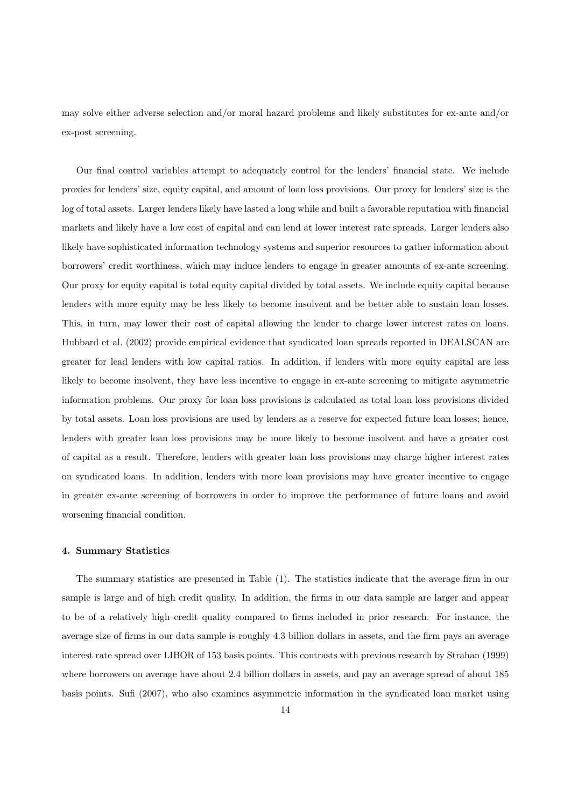may solve either adverse selection and/or moral hazard problems and likely substitutes for ex-ante and/or ex-post screening.

Our final control variables attempt to adequately control for the lenders' financial state. We include proxies for lenders' size, equity capital, and amount of loan loss provisions. Our proxy for lenders' size is the log of total assets. Larger lenders likely have lasted a long while and built a favorable reputation with financial markets and likely have a low cost of capital and can lend at lower interest rate spreads. Larger lenders also likely have sophisticated information technology systems and superior resources to gather information about borrowers' credit worthiness, which may induce lenders to engage in greater amounts of ex-ante screening. Our proxy for equity capital is total equity capital divided by total assets. We include equity capital because lenders with more equity may be less likely to become insolvent and be better able to sustain loan losses. This, in turn, may lower their cost of capital allowing the lender to charge lower interest rates on loans. Hubbard et al. (2002) provide empirical evidence that syndicated loan spreads reported in DEALSCAN are greater for lead lenders with low capital ratios. In addition, if lenders with more equity capital are less likely to become insolvent, they have less incentive to engage in ex-ante screening to mitigate asymmetric information problems. Our proxy for loan loss provisions is calculated as total loan loss provisions divided by total assets. Loan loss provisions are used by lenders as a reserve for expected future loan losses; hence, lenders with greater loan loss provisions may be more likely to become insolvent and have a greater cost of capital as a result. Therefore, lenders with greater loan loss provisions may charge higher interest rates on syndicated loans. In addition, lenders with more loan provisions may have greater incentive to engage in greater ex-ante screening of borrowers in order to improve the performance of future loans and avoid worsening financial condition.

# 4. Summary Statistics

The summary statistics are presented in Table (1). The statistics indicate that the average firm in our sample is large and of high credit quality. In addition, the firms in our data sample are larger and appear to be of a relatively high credit quality compared to firms included in prior research. For instance, the average size of firms in our data sample is roughly 4.3 billion dollars in assets, and the firm pays an average interest rate spread over LIBOR of 153 basis points. This contrasts with previous research by Strahan (1999) where borrowers on average have about 2.4 billion dollars in assets, and pay an average spread of about 185 basis points. Sufi (2007), who also examines asymmetric information in the syndicated loan market using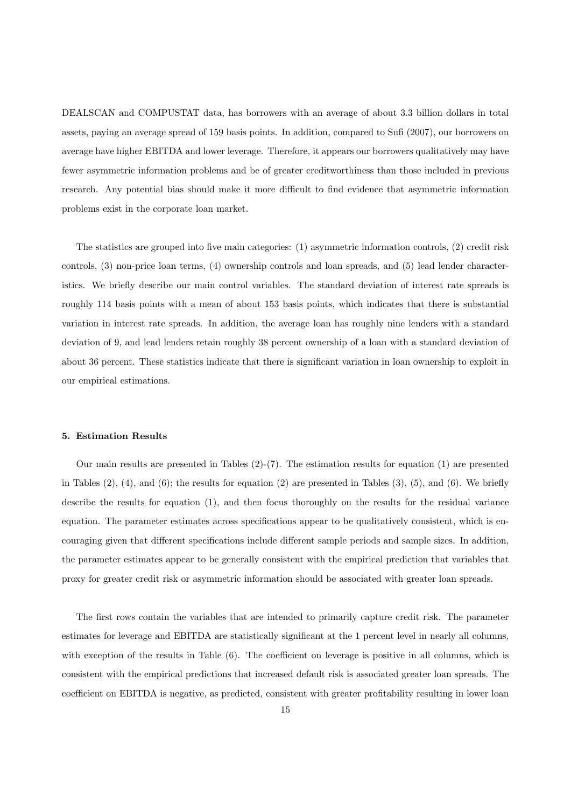DEALSCAN and COMPUSTAT data, has borrowers with an average of about 3.3 billion dollars in total assets, paying an average spread of 159 basis points. In addition, compared to Sufi (2007), our borrowers on average have higher EBITDA and lower leverage. Therefore, it appears our borrowers qualitatively may have fewer asymmetric information problems and be of greater creditworthiness than those included in previous research. Any potential bias should make it more difficult to find evidence that asymmetric information problems exist in the corporate loan market.

The statistics are grouped into five main categories: (1) asymmetric information controls, (2) credit risk controls, (3) non-price loan terms, (4) ownership controls and loan spreads, and (5) lead lender characteristics. We briefly describe our main control variables. The standard deviation of interest rate spreads is roughly 114 basis points with a mean of about 153 basis points, which indicates that there is substantial variation in interest rate spreads. In addition, the average loan has roughly nine lenders with a standard deviation of 9, and lead lenders retain roughly 38 percent ownership of a loan with a standard deviation of about 36 percent. These statistics indicate that there is significant variation in loan ownership to exploit in our empirical estimations.

#### 5. Estimation Results

Our main results are presented in Tables  $(2)-(7)$ . The estimation results for equation  $(1)$  are presented in Tables  $(2)$ ,  $(4)$ , and  $(6)$ ; the results for equation  $(2)$  are presented in Tables  $(3)$ ,  $(5)$ , and  $(6)$ . We briefly describe the results for equation (1), and then focus thoroughly on the results for the residual variance equation. The parameter estimates across specifications appear to be qualitatively consistent, which is encouraging given that different specifications include different sample periods and sample sizes. In addition, the parameter estimates appear to be generally consistent with the empirical prediction that variables that proxy for greater credit risk or asymmetric information should be associated with greater loan spreads.

The first rows contain the variables that are intended to primarily capture credit risk. The parameter estimates for leverage and EBITDA are statistically significant at the 1 percent level in nearly all columns, with exception of the results in Table  $(6)$ . The coefficient on leverage is positive in all columns, which is consistent with the empirical predictions that increased default risk is associated greater loan spreads. The coefficient on EBITDA is negative, as predicted, consistent with greater profitability resulting in lower loan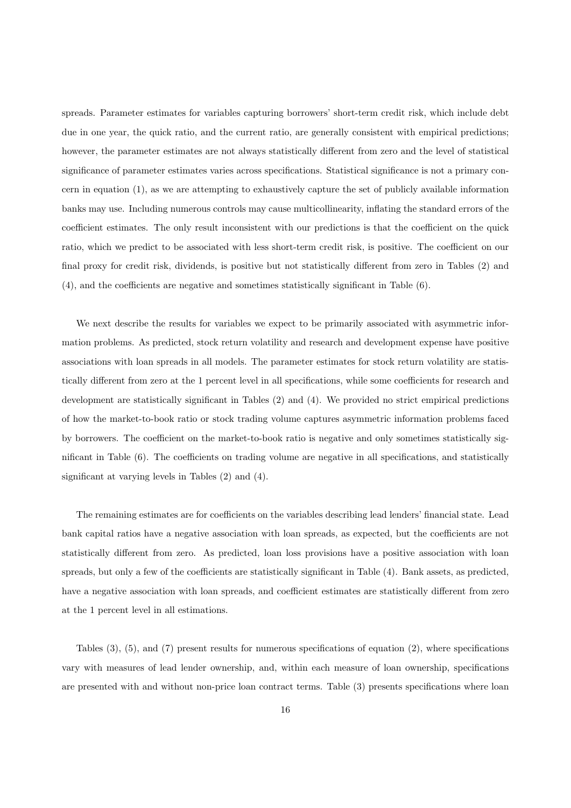spreads. Parameter estimates for variables capturing borrowers' short-term credit risk, which include debt due in one year, the quick ratio, and the current ratio, are generally consistent with empirical predictions; however, the parameter estimates are not always statistically different from zero and the level of statistical significance of parameter estimates varies across specifications. Statistical significance is not a primary concern in equation (1), as we are attempting to exhaustively capture the set of publicly available information banks may use. Including numerous controls may cause multicollinearity, inflating the standard errors of the coefficient estimates. The only result inconsistent with our predictions is that the coefficient on the quick ratio, which we predict to be associated with less short-term credit risk, is positive. The coefficient on our final proxy for credit risk, dividends, is positive but not statistically different from zero in Tables (2) and (4), and the coefficients are negative and sometimes statistically significant in Table (6).

We next describe the results for variables we expect to be primarily associated with asymmetric information problems. As predicted, stock return volatility and research and development expense have positive associations with loan spreads in all models. The parameter estimates for stock return volatility are statistically different from zero at the 1 percent level in all specifications, while some coefficients for research and development are statistically significant in Tables (2) and (4). We provided no strict empirical predictions of how the market-to-book ratio or stock trading volume captures asymmetric information problems faced by borrowers. The coefficient on the market-to-book ratio is negative and only sometimes statistically significant in Table (6). The coefficients on trading volume are negative in all specifications, and statistically significant at varying levels in Tables (2) and (4).

The remaining estimates are for coefficients on the variables describing lead lenders' financial state. Lead bank capital ratios have a negative association with loan spreads, as expected, but the coefficients are not statistically different from zero. As predicted, loan loss provisions have a positive association with loan spreads, but only a few of the coefficients are statistically significant in Table (4). Bank assets, as predicted, have a negative association with loan spreads, and coefficient estimates are statistically different from zero at the 1 percent level in all estimations.

Tables (3), (5), and (7) present results for numerous specifications of equation (2), where specifications vary with measures of lead lender ownership, and, within each measure of loan ownership, specifications are presented with and without non-price loan contract terms. Table (3) presents specifications where loan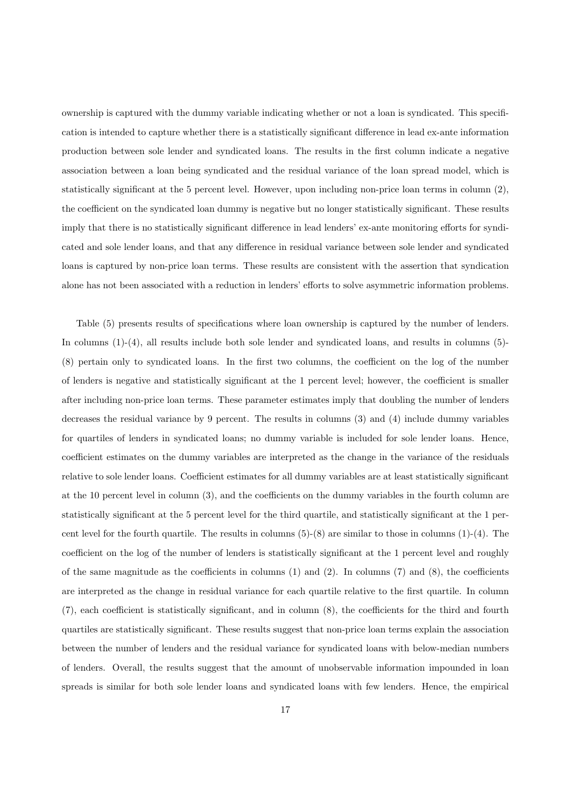ownership is captured with the dummy variable indicating whether or not a loan is syndicated. This specification is intended to capture whether there is a statistically significant difference in lead ex-ante information production between sole lender and syndicated loans. The results in the first column indicate a negative association between a loan being syndicated and the residual variance of the loan spread model, which is statistically significant at the 5 percent level. However, upon including non-price loan terms in column (2), the coefficient on the syndicated loan dummy is negative but no longer statistically significant. These results imply that there is no statistically significant difference in lead lenders' ex-ante monitoring efforts for syndicated and sole lender loans, and that any difference in residual variance between sole lender and syndicated loans is captured by non-price loan terms. These results are consistent with the assertion that syndication alone has not been associated with a reduction in lenders' efforts to solve asymmetric information problems.

Table (5) presents results of specifications where loan ownership is captured by the number of lenders. In columns (1)-(4), all results include both sole lender and syndicated loans, and results in columns (5)- (8) pertain only to syndicated loans. In the first two columns, the coefficient on the log of the number of lenders is negative and statistically significant at the 1 percent level; however, the coefficient is smaller after including non-price loan terms. These parameter estimates imply that doubling the number of lenders decreases the residual variance by 9 percent. The results in columns (3) and (4) include dummy variables for quartiles of lenders in syndicated loans; no dummy variable is included for sole lender loans. Hence, coefficient estimates on the dummy variables are interpreted as the change in the variance of the residuals relative to sole lender loans. Coefficient estimates for all dummy variables are at least statistically significant at the 10 percent level in column (3), and the coefficients on the dummy variables in the fourth column are statistically significant at the 5 percent level for the third quartile, and statistically significant at the 1 percent level for the fourth quartile. The results in columns  $(5)-(8)$  are similar to those in columns  $(1)-(4)$ . The coefficient on the log of the number of lenders is statistically significant at the 1 percent level and roughly of the same magnitude as the coefficients in columns  $(1)$  and  $(2)$ . In columns  $(7)$  and  $(8)$ , the coefficients are interpreted as the change in residual variance for each quartile relative to the first quartile. In column (7), each coefficient is statistically significant, and in column (8), the coefficients for the third and fourth quartiles are statistically significant. These results suggest that non-price loan terms explain the association between the number of lenders and the residual variance for syndicated loans with below-median numbers of lenders. Overall, the results suggest that the amount of unobservable information impounded in loan spreads is similar for both sole lender loans and syndicated loans with few lenders. Hence, the empirical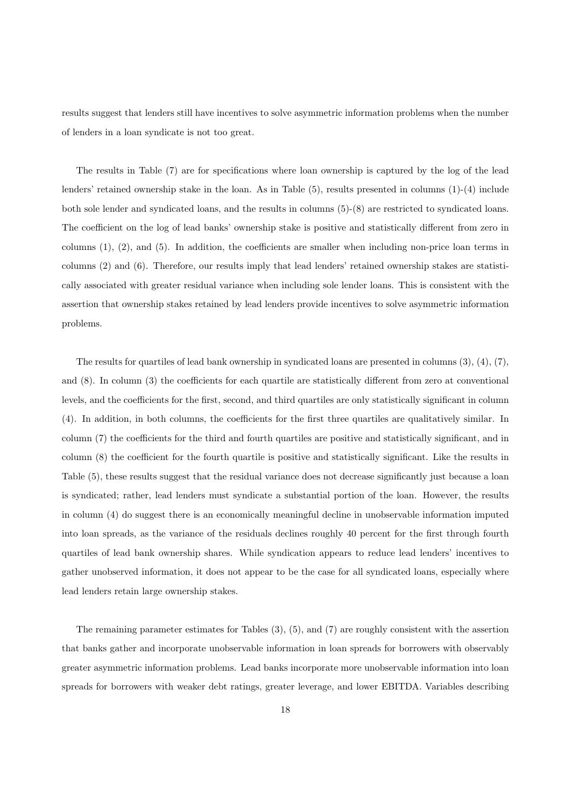results suggest that lenders still have incentives to solve asymmetric information problems when the number of lenders in a loan syndicate is not too great.

The results in Table (7) are for specifications where loan ownership is captured by the log of the lead lenders' retained ownership stake in the loan. As in Table (5), results presented in columns (1)-(4) include both sole lender and syndicated loans, and the results in columns (5)-(8) are restricted to syndicated loans. The coefficient on the log of lead banks' ownership stake is positive and statistically different from zero in columns (1), (2), and (5). In addition, the coefficients are smaller when including non-price loan terms in columns (2) and (6). Therefore, our results imply that lead lenders' retained ownership stakes are statistically associated with greater residual variance when including sole lender loans. This is consistent with the assertion that ownership stakes retained by lead lenders provide incentives to solve asymmetric information problems.

The results for quartiles of lead bank ownership in syndicated loans are presented in columns (3), (4), (7), and (8). In column (3) the coefficients for each quartile are statistically different from zero at conventional levels, and the coefficients for the first, second, and third quartiles are only statistically significant in column (4). In addition, in both columns, the coefficients for the first three quartiles are qualitatively similar. In column (7) the coefficients for the third and fourth quartiles are positive and statistically significant, and in column (8) the coefficient for the fourth quartile is positive and statistically significant. Like the results in Table (5), these results suggest that the residual variance does not decrease significantly just because a loan is syndicated; rather, lead lenders must syndicate a substantial portion of the loan. However, the results in column (4) do suggest there is an economically meaningful decline in unobservable information imputed into loan spreads, as the variance of the residuals declines roughly 40 percent for the first through fourth quartiles of lead bank ownership shares. While syndication appears to reduce lead lenders' incentives to gather unobserved information, it does not appear to be the case for all syndicated loans, especially where lead lenders retain large ownership stakes.

The remaining parameter estimates for Tables (3), (5), and (7) are roughly consistent with the assertion that banks gather and incorporate unobservable information in loan spreads for borrowers with observably greater asymmetric information problems. Lead banks incorporate more unobservable information into loan spreads for borrowers with weaker debt ratings, greater leverage, and lower EBITDA. Variables describing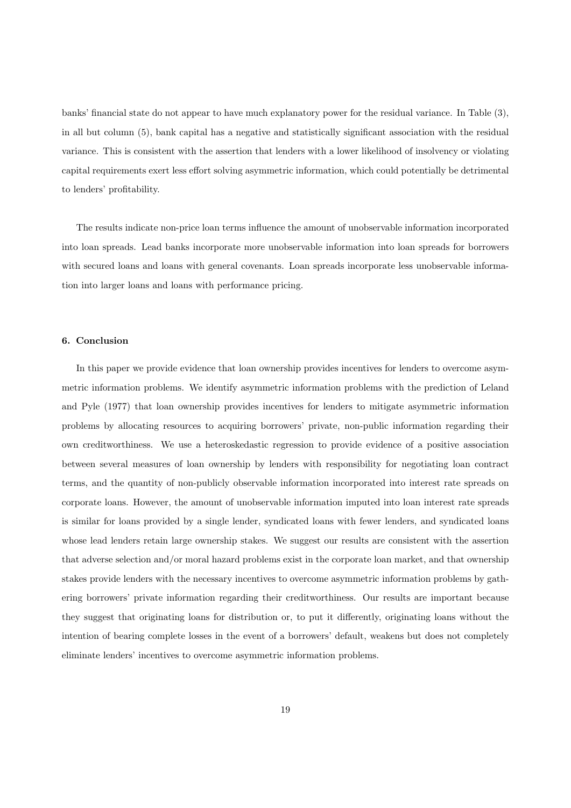banks' financial state do not appear to have much explanatory power for the residual variance. In Table (3), in all but column (5), bank capital has a negative and statistically significant association with the residual variance. This is consistent with the assertion that lenders with a lower likelihood of insolvency or violating capital requirements exert less effort solving asymmetric information, which could potentially be detrimental to lenders' profitability.

The results indicate non-price loan terms influence the amount of unobservable information incorporated into loan spreads. Lead banks incorporate more unobservable information into loan spreads for borrowers with secured loans and loans with general covenants. Loan spreads incorporate less unobservable information into larger loans and loans with performance pricing.

## 6. Conclusion

In this paper we provide evidence that loan ownership provides incentives for lenders to overcome asymmetric information problems. We identify asymmetric information problems with the prediction of Leland and Pyle (1977) that loan ownership provides incentives for lenders to mitigate asymmetric information problems by allocating resources to acquiring borrowers' private, non-public information regarding their own creditworthiness. We use a heteroskedastic regression to provide evidence of a positive association between several measures of loan ownership by lenders with responsibility for negotiating loan contract terms, and the quantity of non-publicly observable information incorporated into interest rate spreads on corporate loans. However, the amount of unobservable information imputed into loan interest rate spreads is similar for loans provided by a single lender, syndicated loans with fewer lenders, and syndicated loans whose lead lenders retain large ownership stakes. We suggest our results are consistent with the assertion that adverse selection and/or moral hazard problems exist in the corporate loan market, and that ownership stakes provide lenders with the necessary incentives to overcome asymmetric information problems by gathering borrowers' private information regarding their creditworthiness. Our results are important because they suggest that originating loans for distribution or, to put it differently, originating loans without the intention of bearing complete losses in the event of a borrowers' default, weakens but does not completely eliminate lenders' incentives to overcome asymmetric information problems.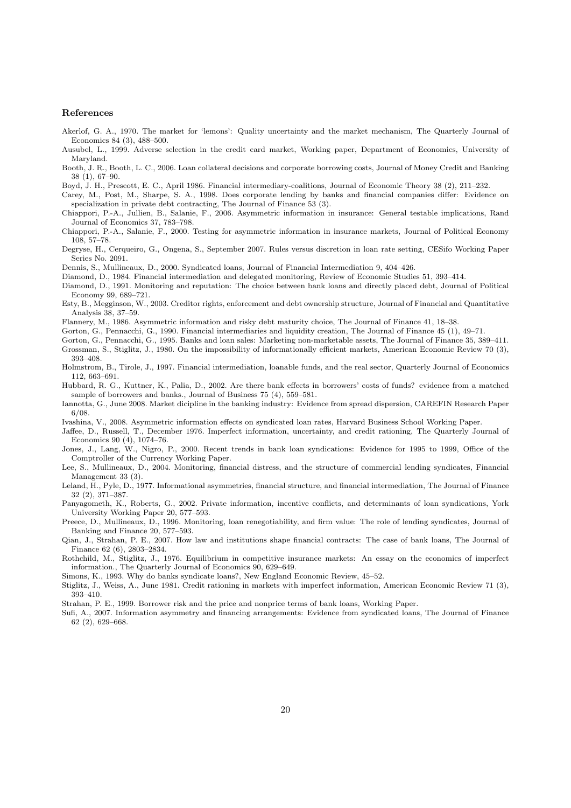#### References

- Akerlof, G. A., 1970. The market for 'lemons': Quality uncertainty and the market mechanism, The Quarterly Journal of Economics 84 (3), 488–500.
- Ausubel, L., 1999. Adverse selection in the credit card market, Working paper, Department of Economics, University of Maryland.
- Booth, J. R., Booth, L. C., 2006. Loan collateral decisions and corporate borrowing costs, Journal of Money Credit and Banking 38 (1), 67–90.
- Boyd, J. H., Prescott, E. C., April 1986. Financial intermediary-coalitions, Journal of Economic Theory 38 (2), 211–232.
- Carey, M., Post, M., Sharpe, S. A., 1998. Does corporate lending by banks and financial companies differ: Evidence on specialization in private debt contracting, The Journal of Finance 53 (3).
- Chiappori, P.-A., Jullien, B., Salanie, F., 2006. Asymmetric information in insurance: General testable implications, Rand Journal of Economics 37, 783–798.
- Chiappori, P.-A., Salanie, F., 2000. Testing for asymmetric information in insurance markets, Journal of Political Economy 108, 57–78.
- Degryse, H., Cerqueiro, G., Ongena, S., September 2007. Rules versus discretion in loan rate setting, CESifo Working Paper Series No. 2091.
- Dennis, S., Mullineaux, D., 2000. Syndicated loans, Journal of Financial Intermediation 9, 404–426.
- Diamond, D., 1984. Financial intermediation and delegated monitoring, Review of Economic Studies 51, 393–414.
- Diamond, D., 1991. Monitoring and reputation: The choice between bank loans and directly placed debt, Journal of Political Economy 99, 689–721.
- Esty, B., Megginson, W., 2003. Creditor rights, enforcement and debt ownership structure, Journal of Financial and Quantitative Analysis 38, 37–59.

Flannery, M., 1986. Asymmetric information and risky debt maturity choice, The Journal of Finance 41, 18–38.

Gorton, G., Pennacchi, G., 1990. Financial intermediaries and liquidity creation, The Journal of Finance 45 (1), 49–71.

Gorton, G., Pennacchi, G., 1995. Banks and loan sales: Marketing non-marketable assets, The Journal of Finance 35, 389–411. Grossman, S., Stiglitz, J., 1980. On the impossibility of informationally efficient markets, American Economic Review 70 (3),

- 393–408. Holmstrom, B., Tirole, J., 1997. Financial intermediation, loanable funds, and the real sector, Quarterly Journal of Economics
- 112, 663–691.
- Hubbard, R. G., Kuttner, K., Palia, D., 2002. Are there bank effects in borrowers' costs of funds? evidence from a matched sample of borrowers and banks., Journal of Business 75 (4), 559–581.
- Iannotta, G., June 2008. Market dicipline in the banking industry: Evidence from spread dispersion, CAREFIN Research Paper 6/08.

Ivashina, V., 2008. Asymmetric information effects on syndicated loan rates, Harvard Business School Working Paper.

- Jaffee, D., Russell, T., December 1976. Imperfect information, uncertainty, and credit rationing, The Quarterly Journal of Economics 90 (4), 1074–76.
- Jones, J., Lang, W., Nigro, P., 2000. Recent trends in bank loan syndications: Evidence for 1995 to 1999, Office of the Comptroller of the Currency Working Paper.
- Lee, S., Mullineaux, D., 2004. Monitoring, financial distress, and the structure of commercial lending syndicates, Financial Management 33 (3).
- Leland, H., Pyle, D., 1977. Informational asymmetries, financial structure, and financial intermediation, The Journal of Finance 32 (2), 371–387.
- Panyagometh, K., Roberts, G., 2002. Private information, incentive conflicts, and determinants of loan syndications, York University Working Paper 20, 577–593.

Preece, D., Mullineaux, D., 1996. Monitoring, loan renegotiability, and firm value: The role of lending syndicates, Journal of Banking and Finance 20, 577–593.

- Qian, J., Strahan, P. E., 2007. How law and institutions shape financial contracts: The case of bank loans, The Journal of Finance 62 (6), 2803–2834.
- Rothchild, M., Stiglitz, J., 1976. Equilibrium in competitive insurance markets: An essay on the economics of imperfect information., The Quarterly Journal of Economics 90, 629–649.

Simons, K., 1993. Why do banks syndicate loans?, New England Economic Review, 45–52.

- Stiglitz, J., Weiss, A., June 1981. Credit rationing in markets with imperfect information, American Economic Review 71 (3), 393–410.
- Strahan, P. E., 1999. Borrower risk and the price and nonprice terms of bank loans, Working Paper.
- Sufi, A., 2007. Information asymmetry and financing arrangements: Evidence from syndicated loans, The Journal of Finance 62 (2), 629–668.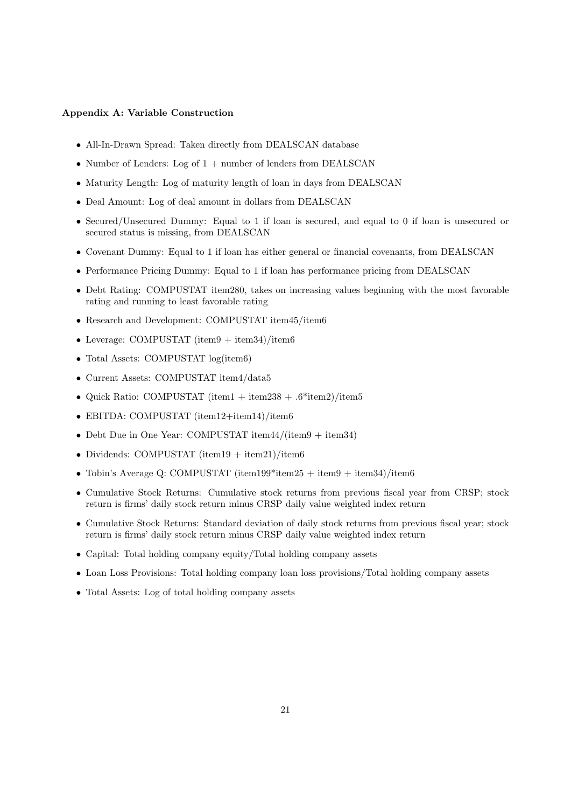#### Appendix A: Variable Construction

- All-In-Drawn Spread: Taken directly from DEALSCAN database
- Number of Lenders: Log of 1 + number of lenders from DEALSCAN
- Maturity Length: Log of maturity length of loan in days from DEALSCAN
- Deal Amount: Log of deal amount in dollars from DEALSCAN
- Secured/Unsecured Dummy: Equal to 1 if loan is secured, and equal to 0 if loan is unsecured or secured status is missing, from DEALSCAN
- Covenant Dummy: Equal to 1 if loan has either general or financial covenants, from DEALSCAN
- Performance Pricing Dummy: Equal to 1 if loan has performance pricing from DEALSCAN
- Debt Rating: COMPUSTAT item280, takes on increasing values beginning with the most favorable rating and running to least favorable rating
- Research and Development: COMPUSTAT item45/item6
- Leverage: COMPUSTAT (item $9 + \text{item34}$ )/item $6$
- Total Assets: COMPUSTAT  $logitem6)$
- Current Assets: COMPUSTAT item4/data5
- Quick Ratio: COMPUSTAT (item1 + item238 + .6\*item2)/item5
- EBITDA: COMPUSTAT (item12+item14)/item6
- Debt Due in One Year: COMPUSTAT item44/(item9 + item34)
- Dividends: COMPUSTAT (item19 + item21)/item6
- Tobin's Average Q: COMPUSTAT (item199\*item25 + item9 + item34)/item6
- Cumulative Stock Returns: Cumulative stock returns from previous fiscal year from CRSP; stock return is firms' daily stock return minus CRSP daily value weighted index return
- Cumulative Stock Returns: Standard deviation of daily stock returns from previous fiscal year; stock return is firms' daily stock return minus CRSP daily value weighted index return
- Capital: Total holding company equity/Total holding company assets
- Loan Loss Provisions: Total holding company loan loss provisions/Total holding company assets
- Total Assets: Log of total holding company assets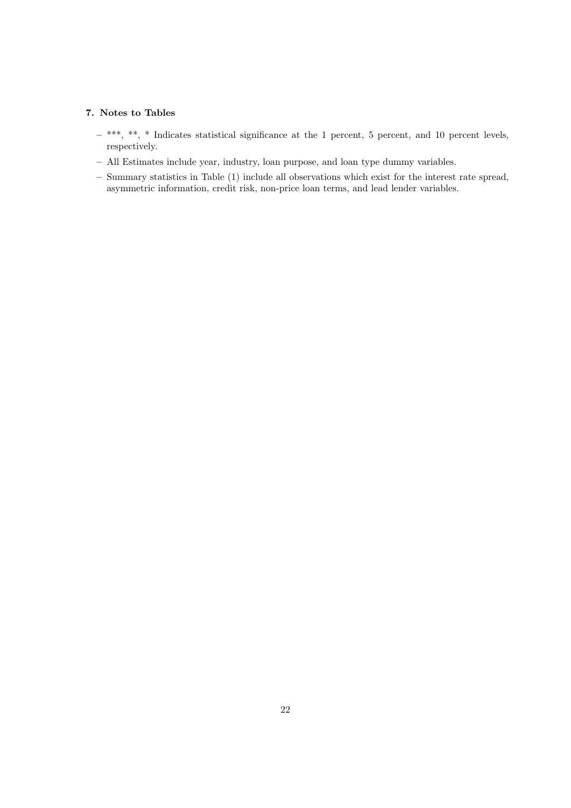# 7. Notes to Tables

- $-$  \*\*\*, \*\*, \* Indicates statistical significance at the 1 percent, 5 percent, and 10 percent levels, respectively.
- All Estimates include year, industry, loan purpose, and loan type dummy variables.
- Summary statistics in Table (1) include all observations which exist for the interest rate spread, asymmetric information, credit risk, non-price loan terms, and lead lender variables.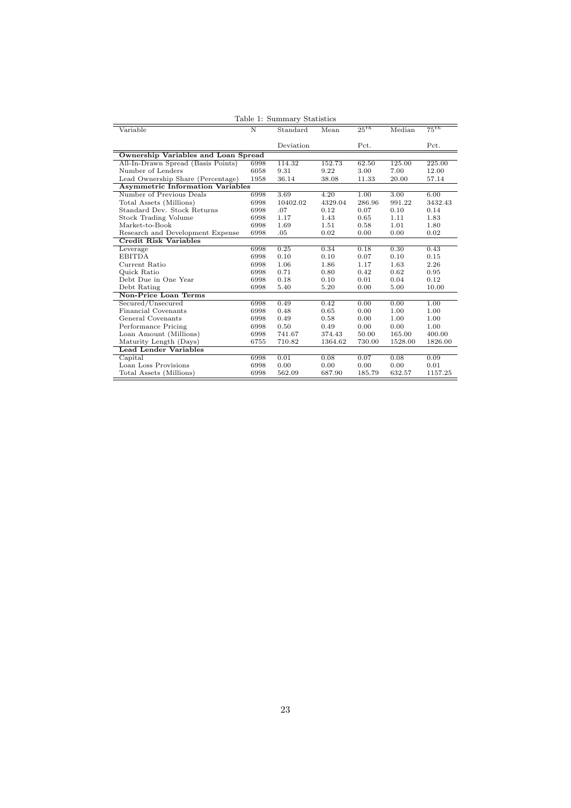| Table 1: Summary Statistics                |      |           |         |           |         |           |  |  |  |
|--------------------------------------------|------|-----------|---------|-----------|---------|-----------|--|--|--|
| Variable                                   | N    | Standard  | Mean    | $25^{th}$ | Median  | $75^{th}$ |  |  |  |
|                                            |      |           |         |           |         |           |  |  |  |
|                                            |      | Deviation |         | Pct.      |         | Pct.      |  |  |  |
| <b>Ownership Variables and Loan Spread</b> |      |           |         |           |         |           |  |  |  |
| All-In-Drawn Spread (Basis Points)         | 6998 | 114.32    | 152.73  | 62.50     | 125.00  | 225.00    |  |  |  |
| Number of Lenders                          | 6058 | 9.31      | 9.22    | 3.00      | 7.00    | 12.00     |  |  |  |
| Lead Ownership Share (Percentage)          | 1958 | 36.14     | 38.08   | 11.33     | 20.00   | 57.14     |  |  |  |
| <b>Asymmetric Information Variables</b>    |      |           |         |           |         |           |  |  |  |
| Number of Previous Deals                   | 6998 | 3.69      | 4.20    | 1.00      | 3.00    | 6.00      |  |  |  |
| Total Assets (Millions)                    | 6998 | 10402.02  | 4329.04 | 286.96    | 991.22  | 3432.43   |  |  |  |
| Standard Dev. Stock Returns                | 6998 | .07       | 0.12    | 0.07      | 0.10    | 0.14      |  |  |  |
| Stock Trading Volume                       | 6998 | 1.17      | 1.43    | 0.65      | 1.11    | 1.83      |  |  |  |
| Market-to-Book                             | 6998 | 1.69      | 1.51    | 0.58      | 1.01    | 1.80      |  |  |  |
| Research and Development Expense           | 6998 | .05       | 0.02    | 0.00      | 0.00    | 0.02      |  |  |  |
| Credit Risk Variables                      |      |           |         |           |         |           |  |  |  |
| Leverage                                   | 6998 | 0.25      | 0.34    | 0.18      | 0.30    | 0.43      |  |  |  |
| <b>EBITDA</b>                              | 6998 | 0.10      | 0.10    | 0.07      | 0.10    | 0.15      |  |  |  |
| Current Ratio                              | 6998 | 1.06      | 1.86    | 1.17      | 1.63    | 2.26      |  |  |  |
| Quick Ratio                                | 6998 | 0.71      | 0.80    | 0.42      | 0.62    | 0.95      |  |  |  |
| Debt Due in One Year                       | 6998 | 0.18      | 0.10    | 0.01      | 0.04    | 0.12      |  |  |  |
| Debt Rating                                | 6998 | 5.40      | 5.20    | 0.00      | 5.00    | 10.00     |  |  |  |
| Non-Price Loan Terms                       |      |           |         |           |         |           |  |  |  |
| Secured/Unsecured                          | 6998 | 0.49      | 0.42    | 0.00      | 0.00    | 1.00      |  |  |  |
| Financial Covenants                        | 6998 | 0.48      | 0.65    | 0.00      | 1.00    | 1.00      |  |  |  |
| General Covenants                          | 6998 | 0.49      | 0.58    | 0.00      | 1.00    | 1.00      |  |  |  |
| Performance Pricing                        | 6998 | 0.50      | 0.49    | 0.00      | 0.00    | 1.00      |  |  |  |
| Loan Amount (Millions)                     | 6998 | 741.67    | 374.43  | 50.00     | 165.00  | 400.00    |  |  |  |
| Maturity Length (Days)                     | 6755 | 710.82    | 1364.62 | 730.00    | 1528.00 | 1826.00   |  |  |  |
| <b>Lead Lender Variables</b>               |      |           |         |           |         |           |  |  |  |
| Capital                                    | 6998 | 0.01      | 0.08    | 0.07      | 0.08    | 0.09      |  |  |  |
| Loan Loss Provisions                       | 6998 | 0.00      | 0.00    | 0.00      | 0.00    | 0.01      |  |  |  |
| Total Assets (Millions)                    | 6998 | 562.09    | 687.90  | 185.79    | 632.57  | 1157.25   |  |  |  |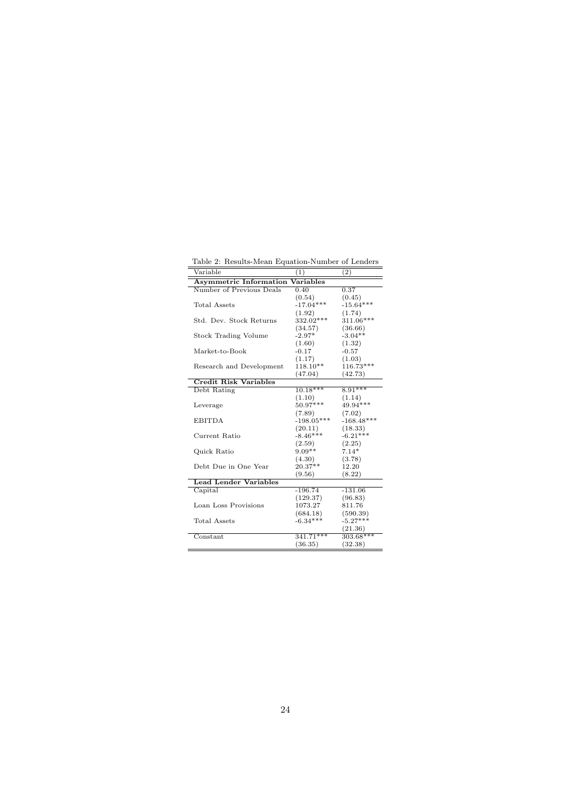Table 2: Results-Mean Equation-Number of Lenders

| Variable                                   | $\overline{(1)}$ | $\bar{(2)}$  |  |  |  |  |  |  |  |
|--------------------------------------------|------------------|--------------|--|--|--|--|--|--|--|
| <b>Asymmetric Information</b><br>Variables |                  |              |  |  |  |  |  |  |  |
| Number of Previous Deals                   | 0.40             | 0.37         |  |  |  |  |  |  |  |
|                                            | (0.54)           | (0.45)       |  |  |  |  |  |  |  |
| Total Assets                               | $-17.04***$      | $-15.64***$  |  |  |  |  |  |  |  |
|                                            | (1.92)           | (1.74)       |  |  |  |  |  |  |  |
| Std. Dev. Stock Returns                    | 332.02***        | 311.06***    |  |  |  |  |  |  |  |
|                                            | (34.57)          | (36.66)      |  |  |  |  |  |  |  |
| <b>Stock Trading Volume</b>                | $-2.97*$         | $-3.04**$    |  |  |  |  |  |  |  |
|                                            | (1.60)           | (1.32)       |  |  |  |  |  |  |  |
| Market-to-Book                             | $-0.17$          | $-0.57$      |  |  |  |  |  |  |  |
|                                            | (1.17)           | (1.03)       |  |  |  |  |  |  |  |
| Research and Development                   | $118.10**$       | 116.73***    |  |  |  |  |  |  |  |
|                                            | (47.04)          | (42.73)      |  |  |  |  |  |  |  |
| <b>Credit Risk Variables</b>               |                  |              |  |  |  |  |  |  |  |
| Debt Rating                                | $10.18***$       | $8.91***$    |  |  |  |  |  |  |  |
|                                            | (1.10)           | (1.14)       |  |  |  |  |  |  |  |
| Leverage                                   | $50.97***$       | 49.94***     |  |  |  |  |  |  |  |
|                                            | (7.89)           | (7.02)       |  |  |  |  |  |  |  |
| <b>EBITDA</b>                              | $-198.05***$     | $-168.48***$ |  |  |  |  |  |  |  |
|                                            | (20.11)          | (18.33)      |  |  |  |  |  |  |  |
| Current Ratio                              | $-8.46***$       | $-6.21***$   |  |  |  |  |  |  |  |
|                                            | (2.59)           | (2.25)       |  |  |  |  |  |  |  |
| Quick Ratio                                | $9.09**$         | $7.14*$      |  |  |  |  |  |  |  |
|                                            | (4.30)           | (3.78)       |  |  |  |  |  |  |  |
| Debt Due in One Year                       | $20.37**$        | 12.20        |  |  |  |  |  |  |  |
|                                            | (9.56)           | (8.22)       |  |  |  |  |  |  |  |
| <b>Lead Lender Variables</b>               |                  |              |  |  |  |  |  |  |  |
| $\overline{\text{Capital}}$                | $-196.74$        | $-131.06$    |  |  |  |  |  |  |  |
|                                            | (129.37)         | (96.83)      |  |  |  |  |  |  |  |
| Loan Loss Provisions                       | 1073.27          | 811.76       |  |  |  |  |  |  |  |
|                                            | (684.18)         | (590.39)     |  |  |  |  |  |  |  |
| Total Assets                               | $-6.34***$       | $-5.27***$   |  |  |  |  |  |  |  |
|                                            |                  | (21.36)      |  |  |  |  |  |  |  |
| Constant                                   | $341.71***$      | $303.68***$  |  |  |  |  |  |  |  |
|                                            | (36.35)          | (32.38)      |  |  |  |  |  |  |  |
|                                            |                  |              |  |  |  |  |  |  |  |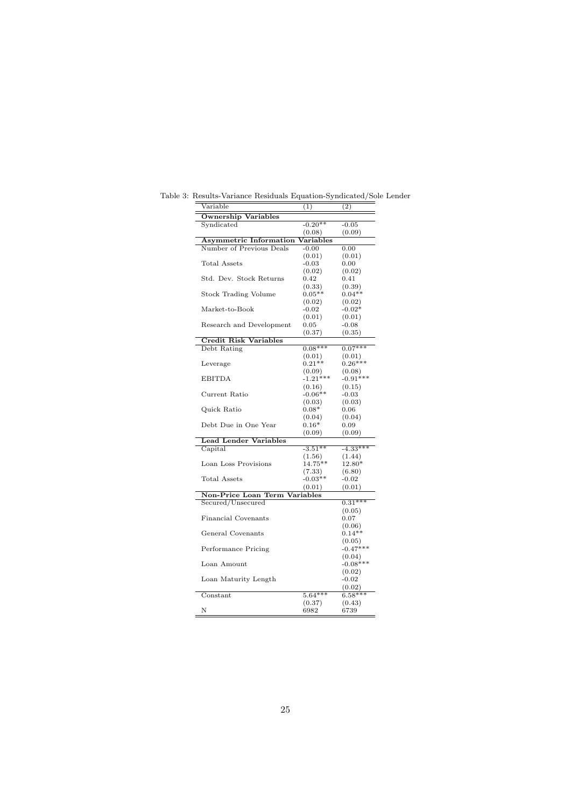| Variable                             | (1)                 | (2)              |
|--------------------------------------|---------------------|------------------|
| <b>Ownership Variables</b>           |                     |                  |
| Syndicated                           | $-0.20**$           | $-0.05$          |
|                                      | (0.08)              | (0.09)           |
| <b>Asymmetric Information</b>        | Variables           |                  |
| Number of Previous Deals             | $-0.00$             | 0.00             |
|                                      | (0.01)              | (0.01)           |
| Total Assets                         | $-0.03$             | 0.00             |
|                                      | (0.02)              | (0.02)           |
| Std. Dev. Stock Returns              | 0.42                | 0.41             |
|                                      | (0.33)              | (0.39)           |
| Stock Trading Volume                 | $0.05**$            | $0.04**$         |
|                                      | (0.02)              | (0.02)           |
| Market-to-Book                       | $-0.02$             | $-0.02*$         |
|                                      | (0.01)              | (0.01)           |
| Research and Development             | $_{0.05}$           | $-0.08$          |
|                                      | (0.37)              | (0.35)           |
| <b>Credit Risk Variables</b>         |                     |                  |
| Debt Rating                          | $0.08***$           | $0.07***$        |
|                                      | (0.01)              | (0.01)           |
| Leverage                             | $0.21**$            | $0.26***$        |
|                                      | (0.09)              | (0.08)           |
| <b>EBITDA</b>                        | $-1.21***$          | $-0.91***$       |
|                                      | (0.16)              | (0.15)           |
| Current Ratio                        | $-0.06**$           | $-0.03$          |
|                                      | (0.03)              | (0.03)           |
| Quick Ratio                          | $0.08*$             | 0.06             |
|                                      | (0.04)              | (0.04)           |
| Debt Due in One Year                 | $0.16*$             | 0.09             |
| <b>Lead Lender Variables</b>         | (0.09)              | (0.09)           |
| Capital                              | $-3.51**$           | $-4.33***$       |
|                                      |                     |                  |
| Loan Loss Provisions                 | (1.56)<br>$14.75**$ | (1.44)<br>12.80* |
|                                      | (7.33)              | (6.80)           |
| <b>Total Assets</b>                  | $-0.03**$           | $-0.02$          |
|                                      | (0.01)              | (0.01)           |
| <b>Non-Price Loan Term Variables</b> |                     |                  |
| Secured/Unsecured                    |                     | $0.31***$        |
|                                      |                     | (0.05)           |
| <b>Financial Covenants</b>           |                     | $_{0.07}$        |
|                                      |                     | (0.06)           |
| General Covenants                    |                     | $0.14**$         |
|                                      |                     | (0.05)           |
| Performance Pricing                  |                     | $-0.47***$       |
|                                      |                     | (0.04)           |
| Loan Amount                          |                     | $-0.08***$       |
|                                      |                     | (0.02)           |
| Loan Maturity Length                 |                     | $-0.02$          |
|                                      |                     | (0.02)           |
| $\overline{\text{Constant}}$         | $5.64***$           | $6.58***$        |
|                                      | (0.37)              | (0.43)           |
| Ν                                    | 6982                | 6739             |
|                                      |                     |                  |

Table 3: Results-Variance Residuals Equation-Syndicated/Sole Lender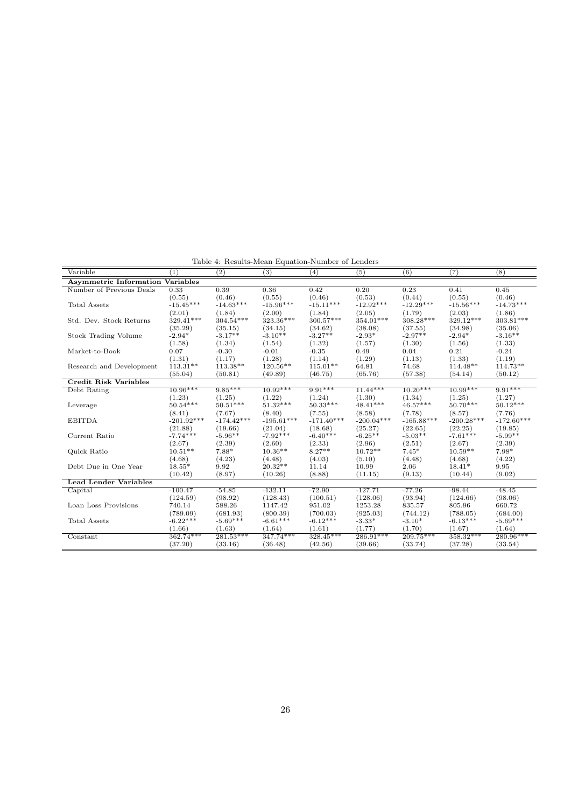Table 4: Results-Mean Equation-Number of Lenders

| Variable                                | (1)          | (2)          | (3)          | (4)          | (5)          | (6)          | (7)          | (8)          |  |  |
|-----------------------------------------|--------------|--------------|--------------|--------------|--------------|--------------|--------------|--------------|--|--|
| <b>Asymmetric Information Variables</b> |              |              |              |              |              |              |              |              |  |  |
| Number of Previous Deals                | 0.33         | 0.39         | 0.36         | 0.42         | 0.20         | 0.23         | 0.41         | 0.45         |  |  |
|                                         | (0.55)       | (0.46)       | (0.55)       | (0.46)       | (0.53)       | (0.44)       | (0.55)       | (0.46)       |  |  |
| <b>Total Assets</b>                     | $-15.45***$  | $-14.63***$  | $-15.96***$  | $-15.11***$  | $-12.92***$  | $-12.29***$  | $-15.56***$  | $-14.73***$  |  |  |
|                                         | (2.01)       | (1.84)       | (2.00)       | (1.84)       | (2.05)       | (1.79)       | (2.03)       | (1.86)       |  |  |
| Std. Dev. Stock Returns                 | 329.41***    | $304.54***$  | 323.36***    | $300.57***$  | 354.01***    | 308.28***    | 329.12***    | 303.81***    |  |  |
|                                         | (35.29)      | (35.15)      | (34.15)      | (34.62)      | (38.08)      | (37.55)      | (34.98)      | (35.06)      |  |  |
| Stock Trading Volume                    | $-2.94*$     | $-3.17**$    | $-3.10**$    | $-3.27**$    | $-2.93*$     | $-2.97**$    | $-2.94*$     | $-3.16**$    |  |  |
|                                         | (1.58)       | (1.34)       | (1.54)       | (1.32)       | (1.57)       | (1.30)       | (1.56)       | (1.33)       |  |  |
| Market-to-Book                          | 0.07         | $-0.30$      | $-0.01$      | $-0.35$      | 0.49         | 0.04         | 0.21         | $-0.24$      |  |  |
|                                         | (1.31)       | (1.17)       | (1.28)       | (1.14)       | (1.29)       | (1.13)       | (1.33)       | (1.19)       |  |  |
| Research and Development                | $113.31**$   | $113.38**$   | $120.56**$   | $115.01**$   | 64.81        | 74.68        | 114.48**     | $114.73**$   |  |  |
|                                         | (55.04)      | (50.81)      | (49.89)      | (46.75)      | (65.76)      | (57.38)      | (54.14)      | (50.12)      |  |  |
| <b>Credit Risk Variables</b>            |              |              |              |              |              |              |              |              |  |  |
| Debt Rating                             | $10.96***$   | $9.85***$    | $10.92***$   | $9.91***$    | $11.44***$   | $10.20***$   | $10.99***$   | $9.91***$    |  |  |
|                                         | (1.23)       | (1.25)       | (1.22)       | (1.24)       | (1.30)       | (1.34)       | (1.25)       | (1.27)       |  |  |
| Leverage                                | $50.54***$   | $50.51***$   | $51.32***$   | $50.33***$   | $48.41***$   | $46.57***$   | $50.70***$   | $50.12***$   |  |  |
|                                         | (8.41)       | (7.67)       | (8.40)       | (7.55)       | (8.58)       | (7.78)       | (8.57)       | (7.76)       |  |  |
| <b>EBITDA</b>                           | $-201.92***$ | $-174.42***$ | $-195.61***$ | $-171.40***$ | $-200.04***$ | $-165.88***$ | $-200.28***$ | $-172.60***$ |  |  |
|                                         | (21.88)      | (19.66)      | (21.04)      | (18.68)      | (25.27)      | (22.65)      | (22.25)      | (19.85)      |  |  |
| Current Ratio                           | $-7.74***$   | $-5.96**$    | $-7.92***$   | $-6.40***$   | $-6.25**$    | $-5.03**$    | $-7.61***$   | $-5.99**$    |  |  |
|                                         | (2.67)       | (2.39)       | (2.60)       | (2.33)       | (2.96)       | (2.51)       | (2.67)       | (2.39)       |  |  |
| Quick Ratio                             | $10.51**$    | $7.88*$      | $10.36**$    | $8.27**$     | $10.72**$    | $7.45*$      | $10.59**$    | $7.98*$      |  |  |
|                                         | (4.68)       | (4.23)       | (4.48)       | (4.03)       | (5.10)       | (4.48)       | (4.68)       | (4.22)       |  |  |
| Debt Due in One Year                    | $18.55*$     | 9.92         | $20.32**$    | 11.14        | 10.99        | 2.06         | $18.41*$     | 9.95         |  |  |
|                                         | (10.42)      | (8.97)       | (10.26)      | (8.88)       | (11.15)      | (9.13)       | (10.44)      | (9.02)       |  |  |
| <b>Lead Lender Variables</b>            |              |              |              |              |              |              |              |              |  |  |
| Capital                                 | $-100.47$    | $-54.85$     | $-132.11$    | $-72.90$     | $-127.71$    | $-77.26$     | $-98.44$     | $-48.45$     |  |  |
|                                         | (124.59)     | (98.92)      | (128.43)     | (100.51)     | (128.06)     | (93.94)      | (124.66)     | (98.06)      |  |  |
| Loan Loss Provisions                    | 740.14       | 588.26       | 1147.42      | 951.02       | 1253.28      | 835.57       | 805.96       | 660.72       |  |  |
|                                         | (789.09)     | (681.93)     | (800.39)     | (700.03)     | (925.03)     | (744.12)     | (788.05)     | (684.00)     |  |  |
| Total Assets                            | $-6.22***$   | $-5.69***$   | $-6.61***$   | $-6.12***$   | $-3.33*$     | $-3.10*$     | $-6.13***$   | $-5.69***$   |  |  |
|                                         | (1.66)       | (1.63)       | (1.64)       | (1.61)       | (1.77)       | (1.70)       | (1.67)       | (1.64)       |  |  |
| Constant                                | 362.74***    | $281.53***$  | 347.74***    | $328.45***$  | $286.91***$  | $209.75***$  | 358.32***    | 280.96***    |  |  |
|                                         | (37.20)      | (33.16)      | (36.48)      | (42.56)      | (39.66)      | (33.74)      | (37.28)      | (33.54)      |  |  |
|                                         |              |              |              |              |              |              |              |              |  |  |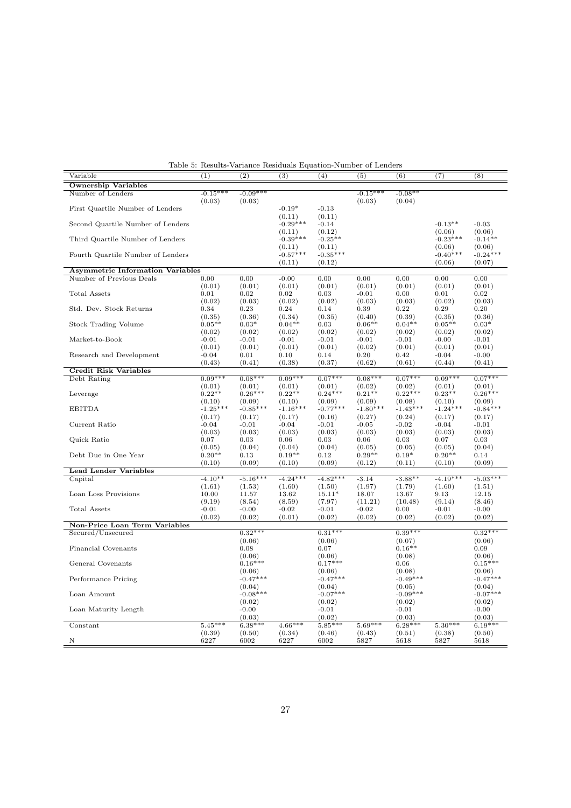| Variable                                | (1)        | $\overline{(2)}$ | $\overline{(3)}$   | (4)                 | (5)        | $\overline{(6)}$    | (7)        | (8)        |
|-----------------------------------------|------------|------------------|--------------------|---------------------|------------|---------------------|------------|------------|
| <b>Ownership Variables</b>              |            |                  |                    |                     |            |                     |            |            |
| Number of Lenders                       | $-0.15***$ | $-0.09***$       |                    |                     | $-0.15***$ | $-0.08**$           |            |            |
|                                         | (0.03)     | (0.03)           |                    |                     | (0.03)     | (0.04)              |            |            |
| First Quartile Number of Lenders        |            |                  | $-0.19*$           | $-0.13$             |            |                     |            |            |
|                                         |            |                  | (0.11)             | (0.11)              |            |                     |            |            |
| Second Quartile Number of Lenders       |            |                  | $-0.29***$         | $-0.14$             |            |                     | $-0.13**$  | $-0.03$    |
|                                         |            |                  | (0.11)             | (0.12)              |            |                     | (0.06)     | (0.06)     |
| Third Quartile Number of Lenders        |            |                  | $-0.39***$         | $-0.25**$           |            |                     | $-0.23***$ | $-0.14**$  |
|                                         |            |                  | (0.11)             | (0.11)              |            |                     | (0.06)     | (0.06)     |
| Fourth Quartile Number of Lenders       |            |                  | $-0.57***$         | $-0.35***$          |            |                     | $-0.40***$ | $-0.24***$ |
|                                         |            |                  |                    |                     |            |                     |            |            |
|                                         |            |                  | (0.11)             | (0.12)              |            |                     | (0.06)     | (0.07)     |
| <b>Asymmetric Information Variables</b> |            |                  |                    |                     |            |                     |            |            |
| Number of Previous Deals                | 0.00       | 0.00             | $-0.00$            | 0.00                | 0.00       | 0.00                | 0.00       | 0.00       |
|                                         | (0.01)     | (0.01)           | (0.01)             | (0.01)              | (0.01)     | (0.01)              | (0.01)     | (0.01)     |
| <b>Total Assets</b>                     | 0.01       | 0.02             | 0.02               | 0.03                | $-0.01$    | 0.00                | 0.01       | 0.02       |
|                                         | (0.02)     | (0.03)           | (0.02)             | (0.02)              | (0.03)     | (0.03)              | (0.02)     | (0.03)     |
| Std. Dev. Stock Returns                 | 0.34       | 0.23             | 0.24               | 0.14                | 0.39       | 0.22                | 0.29       | 0.20       |
|                                         | (0.35)     | (0.36)           | (0.34)             | (0.35)              | (0.40)     | (0.39)              | (0.35)     | (0.36)     |
| <b>Stock Trading Volume</b>             | $0.05**$   | $0.03*$          | $0.04**$           | 0.03                | $0.06**$   | $0.04**$            | $0.05**$   | $0.03*$    |
|                                         | (0.02)     | (0.02)           | (0.02)             | (0.02)              | (0.02)     | (0.02)              | (0.02)     | (0.02)     |
| Market-to-Book                          | $-0.01$    | $-0.01$          | $-0.01$            | $-0.01$             | $-0.01$    | $-0.01$             | $-0.00$    | $-0.01$    |
|                                         | (0.01)     | (0.01)           | (0.01)             | (0.01)              | (0.02)     | (0.01)              | (0.01)     | (0.01)     |
| Research and Development                | $-0.04$    | 0.01             | 0.10               | 0.14                | 0.20       | 0.42                | $-0.04$    | $-0.00$    |
|                                         | (0.43)     | (0.41)           | (0.38)             | (0.37)              | (0.62)     | (0.61)              | (0.44)     | (0.41)     |
| <b>Credit Risk Variables</b>            |            |                  |                    |                     |            |                     |            |            |
| Debt Rating                             | $0.09***$  | $0.08***$        | $0.09***$          | $0.07***$           | $0.08***$  | $0.07***$           | $0.09***$  | $0.07***$  |
|                                         |            | (0.01)           |                    |                     | (0.02)     |                     |            |            |
|                                         | (0.01)     |                  | (0.01)<br>$0.22**$ | (0.01)<br>$0.24***$ |            | (0.02)<br>$0.22***$ | (0.01)     | (0.01)     |
| Leverage                                | $0.22**$   | $0.26***$        |                    |                     | $0.21**$   |                     | $0.23**$   | $0.26***$  |
|                                         | (0.10)     | (0.09)           | (0.10)             | (0.09)              | (0.09)     | (0.08)              | (0.10)     | (0.09)     |
| <b>EBITDA</b>                           | $-1.25***$ | $-0.85***$       | $-1.16***$         | $-0.77***$          | $-1.80***$ | $-1.43***$          | $-1.24***$ | $-0.84***$ |
|                                         | (0.17)     | (0.17)           | (0.17)             | (0.16)              | (0.27)     | (0.24)              | (0.17)     | (0.17)     |
| Current Ratio                           | $-0.04$    | $-0.01$          | $-0.04$            | $-0.01$             | $-0.05$    | $-0.02$             | $-0.04$    | $-0.01$    |
|                                         | (0.03)     | (0.03)           | (0.03)             | (0.03)              | (0.03)     | (0.03)              | (0.03)     | (0.03)     |
| Quick Ratio                             | 0.07       | 0.03             | 0.06               | 0.03                | 0.06       | 0.03                | 0.07       | 0.03       |
|                                         | (0.05)     | (0.04)           | (0.04)             | (0.04)              | (0.05)     | (0.05)              | (0.05)     | (0.04)     |
| Debt Due in One Year                    | $0.20**$   | 0.13             | $0.19**$           | 0.12                | $0.29**$   | $0.19*$             | $0.20**$   | 0.14       |
|                                         | (0.10)     | (0.09)           | (0.10)             | (0.09)              | (0.12)     | (0.11)              | (0.10)     | (0.09)     |
| <b>Lead Lender Variables</b>            |            |                  |                    |                     |            |                     |            |            |
| Capital                                 | $-4.10**$  | $-5.16***$       | $-4.24***$         | $-4.82***$          | $-3.14$    | $-3.88**$           | $-4.19***$ | $-5.03***$ |
|                                         | (1.61)     | (1.53)           | (1.60)             | (1.50)              | (1.97)     | (1.79)              | (1.60)     | (1.51)     |
| Loan Loss Provisions                    | 10.00      | 11.57            | 13.62              | $15.11*$            | 18.07      | 13.67               | 9.13       | 12.15      |
|                                         | (9.19)     | (8.54)           | (8.59)             | (7.97)              | (11.21)    | (10.48)             | (9.14)     | (8.46)     |
| Total Assets                            | $-0.01$    | $-0.00$          | $-0.02$            | $-0.01$             | $-0.02$    | 0.00                | $-0.01$    | $-0.00$    |
|                                         | (0.02)     | (0.02)           | (0.01)             | (0.02)              | (0.02)     | (0.02)              | (0.02)     | (0.02)     |
| Non-Price Loan Term Variables           |            |                  |                    |                     |            |                     |            |            |
| Secured/Unsecured                       |            | $0.32***$        |                    | $0.31***$           |            | $0.39***$           |            | $0.32***$  |
|                                         |            |                  |                    |                     |            |                     |            |            |
|                                         |            | (0.06)           |                    | (0.06)              |            | (0.07)              |            | (0.06)     |
| Financial Covenants                     |            | 0.08             |                    | 0.07                |            | $0.16**$            |            | 0.09       |
|                                         |            | (0.06)           |                    | (0.06)              |            | (0.08)              |            | (0.06)     |
| General Covenants                       |            | $0.16***$        |                    | $0.17***$           |            | 0.06                |            | $0.15***$  |
|                                         |            | (0.06)           |                    | (0.06)              |            | (0.08)              |            | (0.06)     |
| Performance Pricing                     |            | $-0.47***$       |                    | $-0.47***$          |            | $-0.49***$          |            | $-0.47***$ |
|                                         |            | (0.04)           |                    | (0.04)              |            | (0.05)              |            | (0.04)     |
| Loan Amount                             |            | $-0.08***$       |                    | $-0.07***$          |            | $-0.09***$          |            | $-0.07***$ |
|                                         |            | (0.02)           |                    | (0.02)              |            | (0.02)              |            | (0.02)     |
| Loan Maturity Length                    |            | $-0.00$          |                    | $-0.01$             |            | $-0.01$             |            | $-0.00$    |
|                                         |            | (0.03)           |                    | (0.02)              |            | (0.03)              |            | (0.03)     |
| Constant                                | $5.45***$  | $6.38***$        | $4.66***$          | $5.85***$           | $5.69***$  | $6.28***$           | $5.30***$  | $6.19***$  |
|                                         | (0.39)     | (0.50)           | (0.34)             | (0.46)              | (0.43)     | (0.51)              | (0.38)     | (0.50)     |
| N                                       | 6227       | 6002             | 6227               | 6002                | 5827       | 5618                | 5827       | 5618       |
|                                         |            |                  |                    |                     |            |                     |            |            |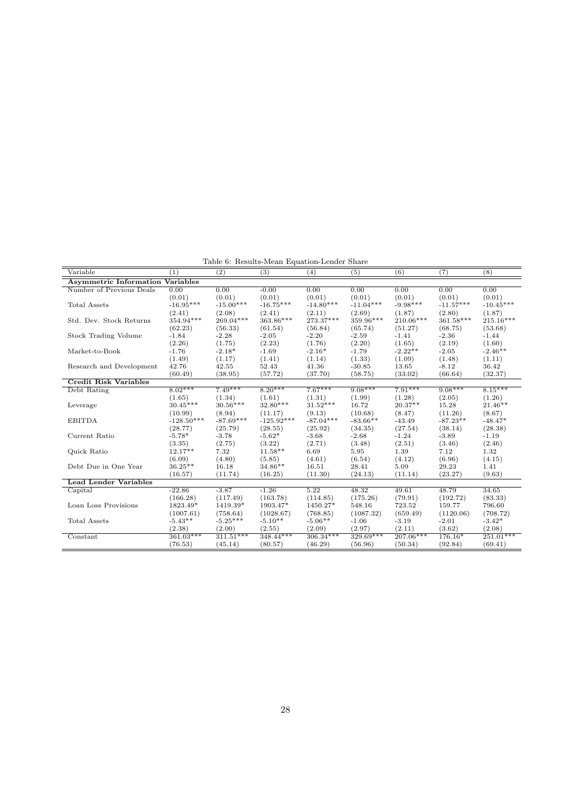Table 6: Results-Mean Equation-Lender Share

| <b>Asymmetric Information Variables</b><br>Number of Previous Deals<br>0.00<br>0.00<br>$-0.00$<br>0.00<br>0.00<br>0.00<br>0.00<br>0.00<br>(0.01)<br>(0.01)<br>(0.01)<br>(0.01)<br>(0.01)<br>(0.01)<br>(0.01)<br>(0.01)<br>$-16.95***$<br>$-16.75***$<br>$-14.80***$<br>$-11.04***$<br>$-15.00***$<br>$-9.98***$<br>$-11.57***$<br>$-10.45***$<br><b>Total Assets</b><br>(2.41)<br>(2.08)<br>(2.41)<br>(2.11)<br>(2.69)<br>(1.87)<br>(2.80)<br>(1.87)<br>269.04***<br>363.86***<br>$273.37***$<br>$361.58***$<br>354.94***<br>359.96***<br>210.06***<br>$215.16***$<br>Std. Dev. Stock Returns<br>(62.23)<br>(56.33)<br>(65.74)<br>(51.27)<br>(53.68)<br>(61.54)<br>(56.84)<br>(68.75)<br>Stock Trading Volume<br>$-1.84$<br>$-2.28$<br>$-2.05$<br>$-2.20$<br>$-1.41$<br>$-2.36$<br>$-1.44$<br>$-2.59$<br>(2.20)<br>(2.19)<br>(2.26)<br>(1.75)<br>(2.23)<br>(1.76)<br>(1.65)<br>(1.60)<br>$-2.22**$<br>$-2.46**$<br>$-2.16*$<br>Market-to-Book<br>$-2.18*$<br>$-1.69$<br>$-1.79$<br>$-2.05$<br>$-1.76$<br>(1.33)<br>(1.48)<br>(1.49)<br>(1.17)<br>(1.41)<br>(1.14)<br>(1.09)<br>(1.11)<br>Research and Development<br>42.76<br>42.55<br>52.43<br>41.36<br>$-30.85$<br>13.65<br>$-8.12$<br>36.42<br>(38.95)<br>(57.72)<br>(37.70)<br>(58.75)<br>(33.02)<br>(66.64)<br>(32.37)<br>(60.49)<br><b>Credit Risk Variables</b><br>$7.67***$<br>$9.08***$<br>$7.91***$<br>$8.15***$<br>$8.02***$<br>$7.49***$<br>$8.20***$<br>$9.08***$<br>Debt Rating<br>(1.65)<br>(1.34)<br>(1.61)<br>(1.31)<br>(1.99)<br>(1.28)<br>(2.05)<br>(1.26)<br>$30.45***$<br>$30.56***$<br>$32.80***$<br>$31.52***$<br>$20.37**$<br>$21.46**$<br>16.72<br>15.28<br>Leverage<br>(8.94)<br>(9.13)<br>(10.68)<br>(11.26)<br>(8.67)<br>(10.99)<br>(11.17)<br>(8.47)<br>$-128.50***$<br>$-87.69***$<br>$-125.92***$<br>$-87.04***$<br>$-83.66**$<br><b>EBITDA</b><br>$-43.49$<br>$-87.23**$<br>$-48.47*$<br>(28.38)<br>(28.77)<br>(25.79)<br>(28.55)<br>(25.92)<br>(34.35)<br>(27.54)<br>(38.14)<br>$-5.62*$<br>Current Ratio<br>$-5.78*$<br>$-3.78$<br>$-3.68$<br>$-1.24$<br>$-1.19$<br>$-2.68$<br>$-3.89$<br>(2.46)<br>(3.35)<br>(2.75)<br>(3.22)<br>(3.48)<br>(2.51)<br>(3.46)<br>(2.71)<br>$12.17**$<br>Quick Ratio<br>7.32<br>$11.58**$<br>1.39<br>1.32<br>6.69<br>5.95<br>7.12<br>(4.80)<br>(6.54)<br>(6.96)<br>(6.09)<br>(5.85)<br>(4.61)<br>(4.12)<br>(4.15)<br>$36.25**$<br>34.86**<br>16.18<br>16.51<br>5.09<br>29.23<br>1.41<br>Debt Due in One Year<br>28.41<br>(16.25)<br>(11.30)<br>(23.27)<br>(9.63)<br>(16.57)<br>(11.74)<br>(24.13)<br>(11.14)<br><b>Lead Lender Variables</b><br>$-3.87$<br>$-1.26$<br>5.22<br>48.32<br>49.61<br>48.79<br>34.65<br>Capital<br>$-22.86$<br>(117.49)<br>(163.78)<br>(175.26)<br>(79.91)<br>(83.33)<br>(166.28)<br>(114.85)<br>(192.72)<br>Loan Loss Provisions<br>1823.49*<br>1419.39*<br>1903.47*<br>1450.27*<br>548.16<br>723.52<br>159.77<br>796.60<br>(1028.67)<br>(1087.32)<br>(659.49)<br>(1120.06)<br>(708.72)<br>(1007.61)<br>(758.64)<br>(768.85)<br>$-5.43**$<br>$-5.25***$<br>$-5.10**$<br>$-5.06**$<br>$-3.19$<br>$-3.42*$<br><b>Total Assets</b><br>$-1.06$<br>$-2.01$<br>(2.11)<br>(2.38)<br>(2.00)<br>(2.09)<br>(2.97)<br>(3.62)<br>(2.08)<br>(2.55)<br>$311.51***$<br>$306.34***$<br>329.69***<br>$251.01***$<br>$361.03***$<br>$348.44***$<br>$207.06***$<br>176.16*<br>Constant<br>(76.53)<br>(46.29)<br>(56.96)<br>(50.34)<br>(69.41)<br>(45.14)<br>(80.57)<br>(92.84) | Variable | $\left(1\right)$ | (2) | (3) | (4) | (5) | (6) | (7) | (8) |  |  |
|--------------------------------------------------------------------------------------------------------------------------------------------------------------------------------------------------------------------------------------------------------------------------------------------------------------------------------------------------------------------------------------------------------------------------------------------------------------------------------------------------------------------------------------------------------------------------------------------------------------------------------------------------------------------------------------------------------------------------------------------------------------------------------------------------------------------------------------------------------------------------------------------------------------------------------------------------------------------------------------------------------------------------------------------------------------------------------------------------------------------------------------------------------------------------------------------------------------------------------------------------------------------------------------------------------------------------------------------------------------------------------------------------------------------------------------------------------------------------------------------------------------------------------------------------------------------------------------------------------------------------------------------------------------------------------------------------------------------------------------------------------------------------------------------------------------------------------------------------------------------------------------------------------------------------------------------------------------------------------------------------------------------------------------------------------------------------------------------------------------------------------------------------------------------------------------------------------------------------------------------------------------------------------------------------------------------------------------------------------------------------------------------------------------------------------------------------------------------------------------------------------------------------------------------------------------------------------------------------------------------------------------------------------------------------------------------------------------------------------------------------------------------------------------------------------------------------------------------------------------------------------------------------------------------------------------------------------------------------------------------------------------------------------------------------------------------------------------------------------------------------------------------------------------------------------------------------------------------------------------------------------------------------------------------------------------------------------------------------------------------------------------------------------|----------|------------------|-----|-----|-----|-----|-----|-----|-----|--|--|
|                                                                                                                                                                                                                                                                                                                                                                                                                                                                                                                                                                                                                                                                                                                                                                                                                                                                                                                                                                                                                                                                                                                                                                                                                                                                                                                                                                                                                                                                                                                                                                                                                                                                                                                                                                                                                                                                                                                                                                                                                                                                                                                                                                                                                                                                                                                                                                                                                                                                                                                                                                                                                                                                                                                                                                                                                                                                                                                                                                                                                                                                                                                                                                                                                                                                                                                                                                                                        |          |                  |     |     |     |     |     |     |     |  |  |
|                                                                                                                                                                                                                                                                                                                                                                                                                                                                                                                                                                                                                                                                                                                                                                                                                                                                                                                                                                                                                                                                                                                                                                                                                                                                                                                                                                                                                                                                                                                                                                                                                                                                                                                                                                                                                                                                                                                                                                                                                                                                                                                                                                                                                                                                                                                                                                                                                                                                                                                                                                                                                                                                                                                                                                                                                                                                                                                                                                                                                                                                                                                                                                                                                                                                                                                                                                                                        |          |                  |     |     |     |     |     |     |     |  |  |
|                                                                                                                                                                                                                                                                                                                                                                                                                                                                                                                                                                                                                                                                                                                                                                                                                                                                                                                                                                                                                                                                                                                                                                                                                                                                                                                                                                                                                                                                                                                                                                                                                                                                                                                                                                                                                                                                                                                                                                                                                                                                                                                                                                                                                                                                                                                                                                                                                                                                                                                                                                                                                                                                                                                                                                                                                                                                                                                                                                                                                                                                                                                                                                                                                                                                                                                                                                                                        |          |                  |     |     |     |     |     |     |     |  |  |
|                                                                                                                                                                                                                                                                                                                                                                                                                                                                                                                                                                                                                                                                                                                                                                                                                                                                                                                                                                                                                                                                                                                                                                                                                                                                                                                                                                                                                                                                                                                                                                                                                                                                                                                                                                                                                                                                                                                                                                                                                                                                                                                                                                                                                                                                                                                                                                                                                                                                                                                                                                                                                                                                                                                                                                                                                                                                                                                                                                                                                                                                                                                                                                                                                                                                                                                                                                                                        |          |                  |     |     |     |     |     |     |     |  |  |
|                                                                                                                                                                                                                                                                                                                                                                                                                                                                                                                                                                                                                                                                                                                                                                                                                                                                                                                                                                                                                                                                                                                                                                                                                                                                                                                                                                                                                                                                                                                                                                                                                                                                                                                                                                                                                                                                                                                                                                                                                                                                                                                                                                                                                                                                                                                                                                                                                                                                                                                                                                                                                                                                                                                                                                                                                                                                                                                                                                                                                                                                                                                                                                                                                                                                                                                                                                                                        |          |                  |     |     |     |     |     |     |     |  |  |
|                                                                                                                                                                                                                                                                                                                                                                                                                                                                                                                                                                                                                                                                                                                                                                                                                                                                                                                                                                                                                                                                                                                                                                                                                                                                                                                                                                                                                                                                                                                                                                                                                                                                                                                                                                                                                                                                                                                                                                                                                                                                                                                                                                                                                                                                                                                                                                                                                                                                                                                                                                                                                                                                                                                                                                                                                                                                                                                                                                                                                                                                                                                                                                                                                                                                                                                                                                                                        |          |                  |     |     |     |     |     |     |     |  |  |
|                                                                                                                                                                                                                                                                                                                                                                                                                                                                                                                                                                                                                                                                                                                                                                                                                                                                                                                                                                                                                                                                                                                                                                                                                                                                                                                                                                                                                                                                                                                                                                                                                                                                                                                                                                                                                                                                                                                                                                                                                                                                                                                                                                                                                                                                                                                                                                                                                                                                                                                                                                                                                                                                                                                                                                                                                                                                                                                                                                                                                                                                                                                                                                                                                                                                                                                                                                                                        |          |                  |     |     |     |     |     |     |     |  |  |
|                                                                                                                                                                                                                                                                                                                                                                                                                                                                                                                                                                                                                                                                                                                                                                                                                                                                                                                                                                                                                                                                                                                                                                                                                                                                                                                                                                                                                                                                                                                                                                                                                                                                                                                                                                                                                                                                                                                                                                                                                                                                                                                                                                                                                                                                                                                                                                                                                                                                                                                                                                                                                                                                                                                                                                                                                                                                                                                                                                                                                                                                                                                                                                                                                                                                                                                                                                                                        |          |                  |     |     |     |     |     |     |     |  |  |
|                                                                                                                                                                                                                                                                                                                                                                                                                                                                                                                                                                                                                                                                                                                                                                                                                                                                                                                                                                                                                                                                                                                                                                                                                                                                                                                                                                                                                                                                                                                                                                                                                                                                                                                                                                                                                                                                                                                                                                                                                                                                                                                                                                                                                                                                                                                                                                                                                                                                                                                                                                                                                                                                                                                                                                                                                                                                                                                                                                                                                                                                                                                                                                                                                                                                                                                                                                                                        |          |                  |     |     |     |     |     |     |     |  |  |
|                                                                                                                                                                                                                                                                                                                                                                                                                                                                                                                                                                                                                                                                                                                                                                                                                                                                                                                                                                                                                                                                                                                                                                                                                                                                                                                                                                                                                                                                                                                                                                                                                                                                                                                                                                                                                                                                                                                                                                                                                                                                                                                                                                                                                                                                                                                                                                                                                                                                                                                                                                                                                                                                                                                                                                                                                                                                                                                                                                                                                                                                                                                                                                                                                                                                                                                                                                                                        |          |                  |     |     |     |     |     |     |     |  |  |
|                                                                                                                                                                                                                                                                                                                                                                                                                                                                                                                                                                                                                                                                                                                                                                                                                                                                                                                                                                                                                                                                                                                                                                                                                                                                                                                                                                                                                                                                                                                                                                                                                                                                                                                                                                                                                                                                                                                                                                                                                                                                                                                                                                                                                                                                                                                                                                                                                                                                                                                                                                                                                                                                                                                                                                                                                                                                                                                                                                                                                                                                                                                                                                                                                                                                                                                                                                                                        |          |                  |     |     |     |     |     |     |     |  |  |
|                                                                                                                                                                                                                                                                                                                                                                                                                                                                                                                                                                                                                                                                                                                                                                                                                                                                                                                                                                                                                                                                                                                                                                                                                                                                                                                                                                                                                                                                                                                                                                                                                                                                                                                                                                                                                                                                                                                                                                                                                                                                                                                                                                                                                                                                                                                                                                                                                                                                                                                                                                                                                                                                                                                                                                                                                                                                                                                                                                                                                                                                                                                                                                                                                                                                                                                                                                                                        |          |                  |     |     |     |     |     |     |     |  |  |
|                                                                                                                                                                                                                                                                                                                                                                                                                                                                                                                                                                                                                                                                                                                                                                                                                                                                                                                                                                                                                                                                                                                                                                                                                                                                                                                                                                                                                                                                                                                                                                                                                                                                                                                                                                                                                                                                                                                                                                                                                                                                                                                                                                                                                                                                                                                                                                                                                                                                                                                                                                                                                                                                                                                                                                                                                                                                                                                                                                                                                                                                                                                                                                                                                                                                                                                                                                                                        |          |                  |     |     |     |     |     |     |     |  |  |
|                                                                                                                                                                                                                                                                                                                                                                                                                                                                                                                                                                                                                                                                                                                                                                                                                                                                                                                                                                                                                                                                                                                                                                                                                                                                                                                                                                                                                                                                                                                                                                                                                                                                                                                                                                                                                                                                                                                                                                                                                                                                                                                                                                                                                                                                                                                                                                                                                                                                                                                                                                                                                                                                                                                                                                                                                                                                                                                                                                                                                                                                                                                                                                                                                                                                                                                                                                                                        |          |                  |     |     |     |     |     |     |     |  |  |
|                                                                                                                                                                                                                                                                                                                                                                                                                                                                                                                                                                                                                                                                                                                                                                                                                                                                                                                                                                                                                                                                                                                                                                                                                                                                                                                                                                                                                                                                                                                                                                                                                                                                                                                                                                                                                                                                                                                                                                                                                                                                                                                                                                                                                                                                                                                                                                                                                                                                                                                                                                                                                                                                                                                                                                                                                                                                                                                                                                                                                                                                                                                                                                                                                                                                                                                                                                                                        |          |                  |     |     |     |     |     |     |     |  |  |
|                                                                                                                                                                                                                                                                                                                                                                                                                                                                                                                                                                                                                                                                                                                                                                                                                                                                                                                                                                                                                                                                                                                                                                                                                                                                                                                                                                                                                                                                                                                                                                                                                                                                                                                                                                                                                                                                                                                                                                                                                                                                                                                                                                                                                                                                                                                                                                                                                                                                                                                                                                                                                                                                                                                                                                                                                                                                                                                                                                                                                                                                                                                                                                                                                                                                                                                                                                                                        |          |                  |     |     |     |     |     |     |     |  |  |
|                                                                                                                                                                                                                                                                                                                                                                                                                                                                                                                                                                                                                                                                                                                                                                                                                                                                                                                                                                                                                                                                                                                                                                                                                                                                                                                                                                                                                                                                                                                                                                                                                                                                                                                                                                                                                                                                                                                                                                                                                                                                                                                                                                                                                                                                                                                                                                                                                                                                                                                                                                                                                                                                                                                                                                                                                                                                                                                                                                                                                                                                                                                                                                                                                                                                                                                                                                                                        |          |                  |     |     |     |     |     |     |     |  |  |
|                                                                                                                                                                                                                                                                                                                                                                                                                                                                                                                                                                                                                                                                                                                                                                                                                                                                                                                                                                                                                                                                                                                                                                                                                                                                                                                                                                                                                                                                                                                                                                                                                                                                                                                                                                                                                                                                                                                                                                                                                                                                                                                                                                                                                                                                                                                                                                                                                                                                                                                                                                                                                                                                                                                                                                                                                                                                                                                                                                                                                                                                                                                                                                                                                                                                                                                                                                                                        |          |                  |     |     |     |     |     |     |     |  |  |
|                                                                                                                                                                                                                                                                                                                                                                                                                                                                                                                                                                                                                                                                                                                                                                                                                                                                                                                                                                                                                                                                                                                                                                                                                                                                                                                                                                                                                                                                                                                                                                                                                                                                                                                                                                                                                                                                                                                                                                                                                                                                                                                                                                                                                                                                                                                                                                                                                                                                                                                                                                                                                                                                                                                                                                                                                                                                                                                                                                                                                                                                                                                                                                                                                                                                                                                                                                                                        |          |                  |     |     |     |     |     |     |     |  |  |
|                                                                                                                                                                                                                                                                                                                                                                                                                                                                                                                                                                                                                                                                                                                                                                                                                                                                                                                                                                                                                                                                                                                                                                                                                                                                                                                                                                                                                                                                                                                                                                                                                                                                                                                                                                                                                                                                                                                                                                                                                                                                                                                                                                                                                                                                                                                                                                                                                                                                                                                                                                                                                                                                                                                                                                                                                                                                                                                                                                                                                                                                                                                                                                                                                                                                                                                                                                                                        |          |                  |     |     |     |     |     |     |     |  |  |
|                                                                                                                                                                                                                                                                                                                                                                                                                                                                                                                                                                                                                                                                                                                                                                                                                                                                                                                                                                                                                                                                                                                                                                                                                                                                                                                                                                                                                                                                                                                                                                                                                                                                                                                                                                                                                                                                                                                                                                                                                                                                                                                                                                                                                                                                                                                                                                                                                                                                                                                                                                                                                                                                                                                                                                                                                                                                                                                                                                                                                                                                                                                                                                                                                                                                                                                                                                                                        |          |                  |     |     |     |     |     |     |     |  |  |
|                                                                                                                                                                                                                                                                                                                                                                                                                                                                                                                                                                                                                                                                                                                                                                                                                                                                                                                                                                                                                                                                                                                                                                                                                                                                                                                                                                                                                                                                                                                                                                                                                                                                                                                                                                                                                                                                                                                                                                                                                                                                                                                                                                                                                                                                                                                                                                                                                                                                                                                                                                                                                                                                                                                                                                                                                                                                                                                                                                                                                                                                                                                                                                                                                                                                                                                                                                                                        |          |                  |     |     |     |     |     |     |     |  |  |
|                                                                                                                                                                                                                                                                                                                                                                                                                                                                                                                                                                                                                                                                                                                                                                                                                                                                                                                                                                                                                                                                                                                                                                                                                                                                                                                                                                                                                                                                                                                                                                                                                                                                                                                                                                                                                                                                                                                                                                                                                                                                                                                                                                                                                                                                                                                                                                                                                                                                                                                                                                                                                                                                                                                                                                                                                                                                                                                                                                                                                                                                                                                                                                                                                                                                                                                                                                                                        |          |                  |     |     |     |     |     |     |     |  |  |
|                                                                                                                                                                                                                                                                                                                                                                                                                                                                                                                                                                                                                                                                                                                                                                                                                                                                                                                                                                                                                                                                                                                                                                                                                                                                                                                                                                                                                                                                                                                                                                                                                                                                                                                                                                                                                                                                                                                                                                                                                                                                                                                                                                                                                                                                                                                                                                                                                                                                                                                                                                                                                                                                                                                                                                                                                                                                                                                                                                                                                                                                                                                                                                                                                                                                                                                                                                                                        |          |                  |     |     |     |     |     |     |     |  |  |
|                                                                                                                                                                                                                                                                                                                                                                                                                                                                                                                                                                                                                                                                                                                                                                                                                                                                                                                                                                                                                                                                                                                                                                                                                                                                                                                                                                                                                                                                                                                                                                                                                                                                                                                                                                                                                                                                                                                                                                                                                                                                                                                                                                                                                                                                                                                                                                                                                                                                                                                                                                                                                                                                                                                                                                                                                                                                                                                                                                                                                                                                                                                                                                                                                                                                                                                                                                                                        |          |                  |     |     |     |     |     |     |     |  |  |
|                                                                                                                                                                                                                                                                                                                                                                                                                                                                                                                                                                                                                                                                                                                                                                                                                                                                                                                                                                                                                                                                                                                                                                                                                                                                                                                                                                                                                                                                                                                                                                                                                                                                                                                                                                                                                                                                                                                                                                                                                                                                                                                                                                                                                                                                                                                                                                                                                                                                                                                                                                                                                                                                                                                                                                                                                                                                                                                                                                                                                                                                                                                                                                                                                                                                                                                                                                                                        |          |                  |     |     |     |     |     |     |     |  |  |
|                                                                                                                                                                                                                                                                                                                                                                                                                                                                                                                                                                                                                                                                                                                                                                                                                                                                                                                                                                                                                                                                                                                                                                                                                                                                                                                                                                                                                                                                                                                                                                                                                                                                                                                                                                                                                                                                                                                                                                                                                                                                                                                                                                                                                                                                                                                                                                                                                                                                                                                                                                                                                                                                                                                                                                                                                                                                                                                                                                                                                                                                                                                                                                                                                                                                                                                                                                                                        |          |                  |     |     |     |     |     |     |     |  |  |
|                                                                                                                                                                                                                                                                                                                                                                                                                                                                                                                                                                                                                                                                                                                                                                                                                                                                                                                                                                                                                                                                                                                                                                                                                                                                                                                                                                                                                                                                                                                                                                                                                                                                                                                                                                                                                                                                                                                                                                                                                                                                                                                                                                                                                                                                                                                                                                                                                                                                                                                                                                                                                                                                                                                                                                                                                                                                                                                                                                                                                                                                                                                                                                                                                                                                                                                                                                                                        |          |                  |     |     |     |     |     |     |     |  |  |
|                                                                                                                                                                                                                                                                                                                                                                                                                                                                                                                                                                                                                                                                                                                                                                                                                                                                                                                                                                                                                                                                                                                                                                                                                                                                                                                                                                                                                                                                                                                                                                                                                                                                                                                                                                                                                                                                                                                                                                                                                                                                                                                                                                                                                                                                                                                                                                                                                                                                                                                                                                                                                                                                                                                                                                                                                                                                                                                                                                                                                                                                                                                                                                                                                                                                                                                                                                                                        |          |                  |     |     |     |     |     |     |     |  |  |
|                                                                                                                                                                                                                                                                                                                                                                                                                                                                                                                                                                                                                                                                                                                                                                                                                                                                                                                                                                                                                                                                                                                                                                                                                                                                                                                                                                                                                                                                                                                                                                                                                                                                                                                                                                                                                                                                                                                                                                                                                                                                                                                                                                                                                                                                                                                                                                                                                                                                                                                                                                                                                                                                                                                                                                                                                                                                                                                                                                                                                                                                                                                                                                                                                                                                                                                                                                                                        |          |                  |     |     |     |     |     |     |     |  |  |
|                                                                                                                                                                                                                                                                                                                                                                                                                                                                                                                                                                                                                                                                                                                                                                                                                                                                                                                                                                                                                                                                                                                                                                                                                                                                                                                                                                                                                                                                                                                                                                                                                                                                                                                                                                                                                                                                                                                                                                                                                                                                                                                                                                                                                                                                                                                                                                                                                                                                                                                                                                                                                                                                                                                                                                                                                                                                                                                                                                                                                                                                                                                                                                                                                                                                                                                                                                                                        |          |                  |     |     |     |     |     |     |     |  |  |
|                                                                                                                                                                                                                                                                                                                                                                                                                                                                                                                                                                                                                                                                                                                                                                                                                                                                                                                                                                                                                                                                                                                                                                                                                                                                                                                                                                                                                                                                                                                                                                                                                                                                                                                                                                                                                                                                                                                                                                                                                                                                                                                                                                                                                                                                                                                                                                                                                                                                                                                                                                                                                                                                                                                                                                                                                                                                                                                                                                                                                                                                                                                                                                                                                                                                                                                                                                                                        |          |                  |     |     |     |     |     |     |     |  |  |
|                                                                                                                                                                                                                                                                                                                                                                                                                                                                                                                                                                                                                                                                                                                                                                                                                                                                                                                                                                                                                                                                                                                                                                                                                                                                                                                                                                                                                                                                                                                                                                                                                                                                                                                                                                                                                                                                                                                                                                                                                                                                                                                                                                                                                                                                                                                                                                                                                                                                                                                                                                                                                                                                                                                                                                                                                                                                                                                                                                                                                                                                                                                                                                                                                                                                                                                                                                                                        |          |                  |     |     |     |     |     |     |     |  |  |
|                                                                                                                                                                                                                                                                                                                                                                                                                                                                                                                                                                                                                                                                                                                                                                                                                                                                                                                                                                                                                                                                                                                                                                                                                                                                                                                                                                                                                                                                                                                                                                                                                                                                                                                                                                                                                                                                                                                                                                                                                                                                                                                                                                                                                                                                                                                                                                                                                                                                                                                                                                                                                                                                                                                                                                                                                                                                                                                                                                                                                                                                                                                                                                                                                                                                                                                                                                                                        |          |                  |     |     |     |     |     |     |     |  |  |
|                                                                                                                                                                                                                                                                                                                                                                                                                                                                                                                                                                                                                                                                                                                                                                                                                                                                                                                                                                                                                                                                                                                                                                                                                                                                                                                                                                                                                                                                                                                                                                                                                                                                                                                                                                                                                                                                                                                                                                                                                                                                                                                                                                                                                                                                                                                                                                                                                                                                                                                                                                                                                                                                                                                                                                                                                                                                                                                                                                                                                                                                                                                                                                                                                                                                                                                                                                                                        |          |                  |     |     |     |     |     |     |     |  |  |